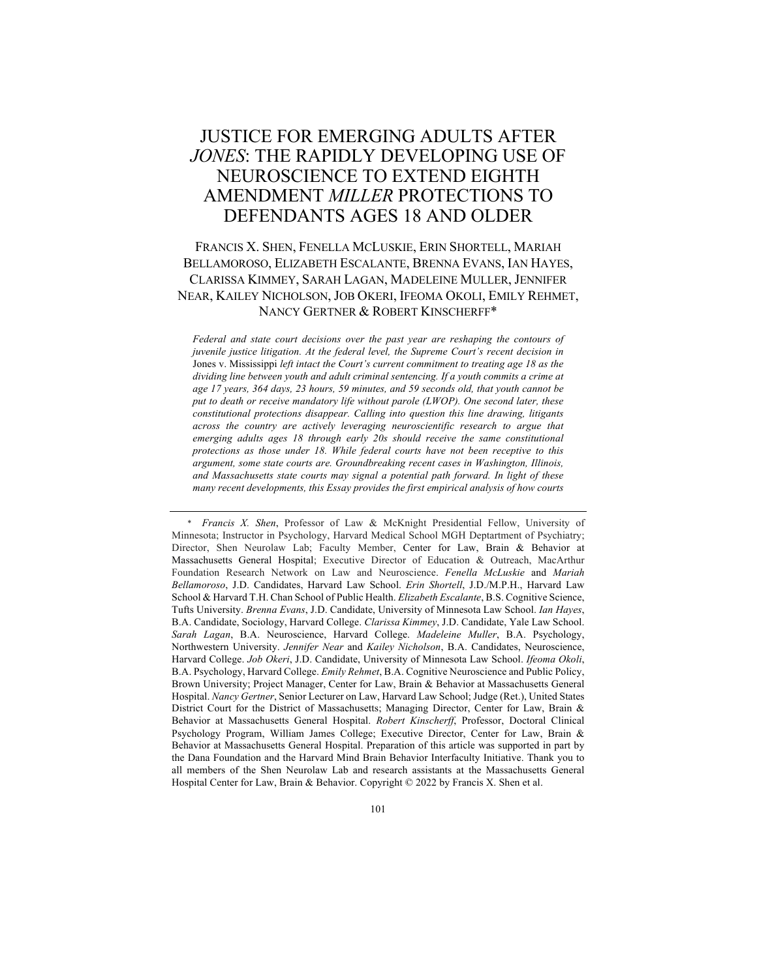# JUSTICE FOR EMERGING ADULTS AFTER *JONES*: THE RAPIDLY DEVELOPING USE OF NEUROSCIENCE TO EXTEND EIGHTH AMENDMENT *MILLER* PROTECTIONS TO DEFENDANTS AGES 18 AND OLDER

## FRANCIS X. SHEN, FENELLA MCLUSKIE, ERIN SHORTELL, MARIAH BELLAMOROSO, ELIZABETH ESCALANTE, BRENNA EVANS, IAN HAYES, CLARISSA KIMMEY, SARAH LAGAN, MADELEINE MULLER, JENNIFER NEAR, KAILEY NICHOLSON, JOB OKERI, IFEOMA OKOLI, EMILY REHMET, NANCY GERTNER & ROBERT KINSCHERFF\*

*Federal and state court decisions over the past year are reshaping the contours of juvenile justice litigation. At the federal level, the Supreme Court's recent decision in* Jones v. Mississippi *left intact the Court's current commitment to treating age 18 as the dividing line between youth and adult criminal sentencing. If a youth commits a crime at age 17 years, 364 days, 23 hours, 59 minutes, and 59 seconds old, that youth cannot be put to death or receive mandatory life without parole (LWOP). One second later, these constitutional protections disappear. Calling into question this line drawing, litigants across the country are actively leveraging neuroscientific research to argue that emerging adults ages 18 through early 20s should receive the same constitutional protections as those under 18. While federal courts have not been receptive to this argument, some state courts are. Groundbreaking recent cases in Washington, Illinois, and Massachusetts state courts may signal a potential path forward. In light of these many recent developments, this Essay provides the first empirical analysis of how courts* 

<sup>\*</sup> *Francis X. Shen*, Professor of Law & McKnight Presidential Fellow, University of Minnesota; Instructor in Psychology, Harvard Medical School MGH Deptartment of Psychiatry; Director, Shen Neurolaw Lab; Faculty Member, Center for Law, Brain & Behavior at Massachusetts General Hospital; Executive Director of Education & Outreach, MacArthur Foundation Research Network on Law and Neuroscience. *Fenella McLuskie* and *Mariah Bellamoroso*, J.D. Candidates, Harvard Law School. *Erin Shortell*, J.D./M.P.H., Harvard Law School & Harvard T.H. Chan School of Public Health. *Elizabeth Escalante*, B.S. Cognitive Science, Tufts University. *Brenna Evans*, J.D. Candidate, University of Minnesota Law School. *Ian Hayes*, B.A. Candidate, Sociology, Harvard College. *Clarissa Kimmey*, J.D. Candidate, Yale Law School. *Sarah Lagan*, B.A. Neuroscience, Harvard College. *Madeleine Muller*, B.A. Psychology, Northwestern University. *Jennifer Near* and *Kailey Nicholson*, B.A. Candidates, Neuroscience, Harvard College. *Job Okeri*, J.D. Candidate, University of Minnesota Law School. *Ifeoma Okoli*, B.A. Psychology, Harvard College. *Emily Rehmet*, B.A. Cognitive Neuroscience and Public Policy, Brown University; Project Manager, Center for Law, Brain & Behavior at Massachusetts General Hospital. *Nancy Gertner*, Senior Lecturer on Law, Harvard Law School; Judge (Ret.), United States District Court for the District of Massachusetts; Managing Director, Center for Law, Brain & Behavior at Massachusetts General Hospital. *Robert Kinscherff*, Professor, Doctoral Clinical Psychology Program, William James College; Executive Director, Center for Law, Brain & Behavior at Massachusetts General Hospital. Preparation of this article was supported in part by the Dana Foundation and the Harvard Mind Brain Behavior Interfaculty Initiative. Thank you to all members of the Shen Neurolaw Lab and research assistants at the Massachusetts General Hospital Center for Law, Brain & Behavior. Copyright © 2022 by Francis X. Shen et al.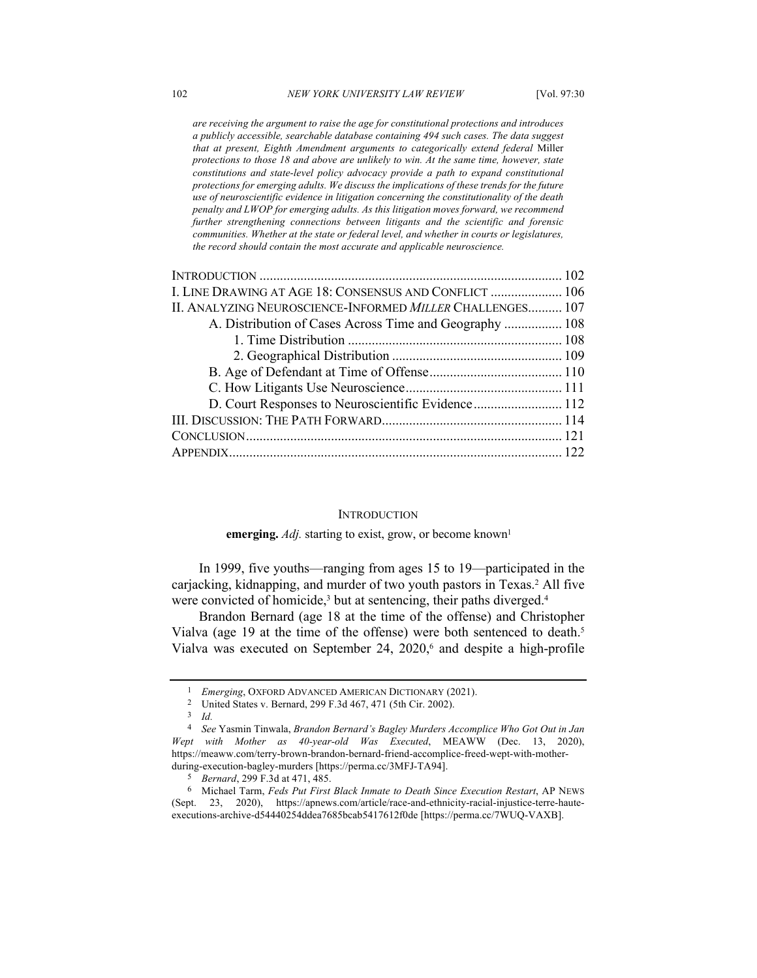*are receiving the argument to raise the age for constitutional protections and introduces a publicly accessible, searchable database containing 494 such cases. The data suggest that at present, Eighth Amendment arguments to categorically extend federal* Miller *protections to those 18 and above are unlikely to win. At the same time, however, state constitutions and state-level policy advocacy provide a path to expand constitutional protections for emerging adults. We discuss the implications of these trends for the future use of neuroscientific evidence in litigation concerning the constitutionality of the death penalty and LWOP for emerging adults. As this litigation moves forward, we recommend further strengthening connections between litigants and the scientific and forensic communities. Whether at the state or federal level, and whether in courts or legislatures, the record should contain the most accurate and applicable neuroscience.*

| I. LINE DRAWING AT AGE 18: CONSENSUS AND CONFLICT  106    |  |
|-----------------------------------------------------------|--|
| II. ANALYZING NEUROSCIENCE-INFORMED MILLER CHALLENGES 107 |  |
| A. Distribution of Cases Across Time and Geography  108   |  |
|                                                           |  |
|                                                           |  |
|                                                           |  |
|                                                           |  |
| D. Court Responses to Neuroscientific Evidence 112        |  |
|                                                           |  |
|                                                           |  |
|                                                           |  |
|                                                           |  |

#### **INTRODUCTION**

#### **emerging.** *Adj.* starting to exist, grow, or become known<sup>1</sup>

In 1999, five youths—ranging from ages 15 to 19—participated in the carjacking, kidnapping, and murder of two youth pastors in Texas.<sup>2</sup> All five were convicted of homicide,<sup>3</sup> but at sentencing, their paths diverged.<sup>4</sup>

Brandon Bernard (age 18 at the time of the offense) and Christopher Vialva (age 19 at the time of the offense) were both sentenced to death.5 Vialva was executed on September 24, 2020,<sup>6</sup> and despite a high-profile

<sup>1</sup> *Emerging*, OXFORD ADVANCED AMERICAN DICTIONARY (2021).

<sup>2</sup> United States v. Bernard, 299 F.3d 467, 471 (5th Cir. 2002). 3 *Id.*

<sup>4</sup> *See* Yasmin Tinwala, *Brandon Bernard's Bagley Murders Accomplice Who Got Out in Jan Wept with Mother as 40-year-old Was Executed*, MEAWW (Dec. 13, 2020), https://meaww.com/terry-brown-brandon-bernard-friend-accomplice-freed-wept-with-motherduring-execution-bagley-murders [https://perma.cc/3MFJ-TA94].

<sup>5</sup> *Bernard*, 299 F.3d at 471, 485.

<sup>6</sup> Michael Tarm, *Feds Put First Black Inmate to Death Since Execution Restart*, AP NEWS (Sept. 23, 2020), https://apnews.com/article/race-and-ethnicity-racial-injustice-terre-hauteexecutions-archive-d54440254ddea7685bcab5417612f0de [https://perma.cc/7WUQ-VAXB].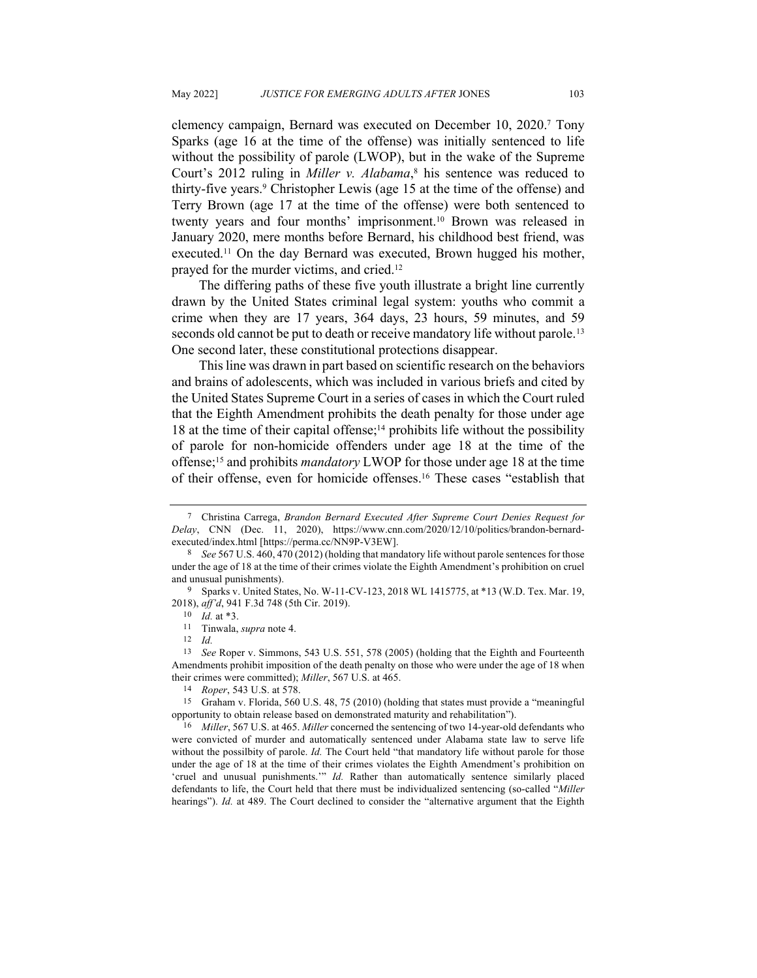clemency campaign, Bernard was executed on December 10, 2020.7 Tony Sparks (age 16 at the time of the offense) was initially sentenced to life without the possibility of parole (LWOP), but in the wake of the Supreme Court's 2012 ruling in *Miller v. Alabama*, <sup>8</sup> his sentence was reduced to thirty-five years.9 Christopher Lewis (age 15 at the time of the offense) and Terry Brown (age 17 at the time of the offense) were both sentenced to twenty years and four months' imprisonment.<sup>10</sup> Brown was released in January 2020, mere months before Bernard, his childhood best friend, was executed.11 On the day Bernard was executed, Brown hugged his mother, prayed for the murder victims, and cried.12

The differing paths of these five youth illustrate a bright line currently drawn by the United States criminal legal system: youths who commit a crime when they are 17 years, 364 days, 23 hours, 59 minutes, and 59 seconds old cannot be put to death or receive mandatory life without parole.<sup>13</sup> One second later, these constitutional protections disappear.

This line was drawn in part based on scientific research on the behaviors and brains of adolescents, which was included in various briefs and cited by the United States Supreme Court in a series of cases in which the Court ruled that the Eighth Amendment prohibits the death penalty for those under age 18 at the time of their capital offense;<sup>14</sup> prohibits life without the possibility of parole for non-homicide offenders under age 18 at the time of the offense;15 and prohibits *mandatory* LWOP for those under age 18 at the time of their offense, even for homicide offenses.16 These cases "establish that

<sup>7</sup> Christina Carrega, *Brandon Bernard Executed After Supreme Court Denies Request for Delay*, CNN (Dec. 11, 2020), https://www.cnn.com/2020/12/10/politics/brandon-bernardexecuted/index.html [https://perma.cc/NN9P-V3EW]. 8 *See* 567 U.S. 460, 470 (2012) (holding that mandatory life without parole sentences for those

under the age of 18 at the time of their crimes violate the Eighth Amendment's prohibition on cruel and unusual punishments).

<sup>9</sup> Sparks v. United States, No. W-11-CV-123, 2018 WL 1415775, at \*13 (W.D. Tex. Mar. 19, 2018), *aff'd*, 941 F.3d 748 (5th Cir. 2019).

<sup>10</sup> *Id.* at \*3.

<sup>11</sup> Tinwala, *supra* note 4.

<sup>12</sup> *Id.*

<sup>13</sup> *See* Roper v. Simmons, 543 U.S. 551, 578 (2005) (holding that the Eighth and Fourteenth Amendments prohibit imposition of the death penalty on those who were under the age of 18 when their crimes were committed); *Miller*, 567 U.S. at 465.

<sup>14</sup> *Roper*, 543 U.S. at 578.

<sup>15</sup> Graham v. Florida, 560 U.S. 48, 75 (2010) (holding that states must provide a "meaningful opportunity to obtain release based on demonstrated maturity and rehabilitation").

<sup>16</sup> *Miller*, 567 U.S. at 465. *Miller* concerned the sentencing of two 14-year-old defendants who were convicted of murder and automatically sentenced under Alabama state law to serve life without the possilbity of parole. *Id.* The Court held "that mandatory life without parole for those under the age of 18 at the time of their crimes violates the Eighth Amendment's prohibition on 'cruel and unusual punishments.'" *Id.* Rather than automatically sentence similarly placed defendants to life, the Court held that there must be individualized sentencing (so-called "*Miller*  hearings"). *Id.* at 489. The Court declined to consider the "alternative argument that the Eighth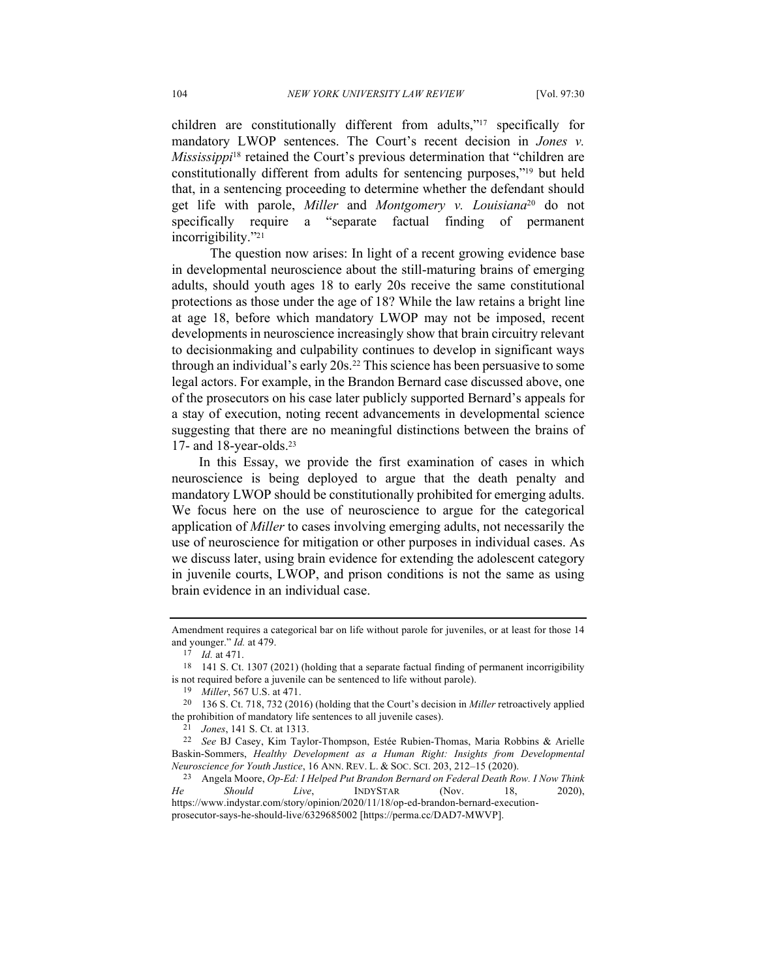children are constitutionally different from adults,"17 specifically for mandatory LWOP sentences. The Court's recent decision in *Jones v. Mississippi*<sup>18</sup> retained the Court's previous determination that "children are constitutionally different from adults for sentencing purposes,"19 but held that, in a sentencing proceeding to determine whether the defendant should get life with parole, *Miller* and *Montgomery v. Louisiana*<sup>20</sup> do not specifically require a "separate factual finding of permanent incorrigibility."21

The question now arises: In light of a recent growing evidence base in developmental neuroscience about the still-maturing brains of emerging adults, should youth ages 18 to early 20s receive the same constitutional protections as those under the age of 18? While the law retains a bright line at age 18, before which mandatory LWOP may not be imposed, recent developments in neuroscience increasingly show that brain circuitry relevant to decisionmaking and culpability continues to develop in significant ways through an individual's early 20s.22 This science has been persuasive to some legal actors. For example, in the Brandon Bernard case discussed above, one of the prosecutors on his case later publicly supported Bernard's appeals for a stay of execution, noting recent advancements in developmental science suggesting that there are no meaningful distinctions between the brains of 17- and 18-year-olds.<sup>23</sup>

In this Essay, we provide the first examination of cases in which neuroscience is being deployed to argue that the death penalty and mandatory LWOP should be constitutionally prohibited for emerging adults. We focus here on the use of neuroscience to argue for the categorical application of *Miller* to cases involving emerging adults, not necessarily the use of neuroscience for mitigation or other purposes in individual cases. As we discuss later, using brain evidence for extending the adolescent category in juvenile courts, LWOP, and prison conditions is not the same as using brain evidence in an individual case.

Amendment requires a categorical bar on life without parole for juveniles, or at least for those 14 and younger." *Id.* at 479.

<sup>17</sup> *Id.* at 471.

<sup>18</sup> 141 S. Ct. 1307 (2021) (holding that a separate factual finding of permanent incorrigibility is not required before a juvenile can be sentenced to life without parole).

<sup>19</sup> *Miller*, 567 U.S. at 471.

<sup>20</sup> 136 S. Ct. 718, 732 (2016) (holding that the Court's decision in *Miller* retroactively applied the prohibition of mandatory life sentences to all juvenile cases).

<sup>21</sup> *Jones*, 141 S. Ct. at 1313.

<sup>22</sup> *See* BJ Casey, Kim Taylor-Thompson, Estée Rubien-Thomas, Maria Robbins & Arielle Baskin-Sommers, *Healthy Development as a Human Right: Insights from Developmental Neuroscience for Youth Justice*, 16 ANN. REV. L. & SOC. SCI. 203, 212–15 (2020). 23 Angela Moore, *Op-Ed: I Helped Put Brandon Bernard on Federal Death Row. I Now Think* 

*He Should Live*, INDYSTAR (Nov. 18, 2020), https://www.indystar.com/story/opinion/2020/11/18/op-ed-brandon-bernard-executionprosecutor-says-he-should-live/6329685002 [https://perma.cc/DAD7-MWVP].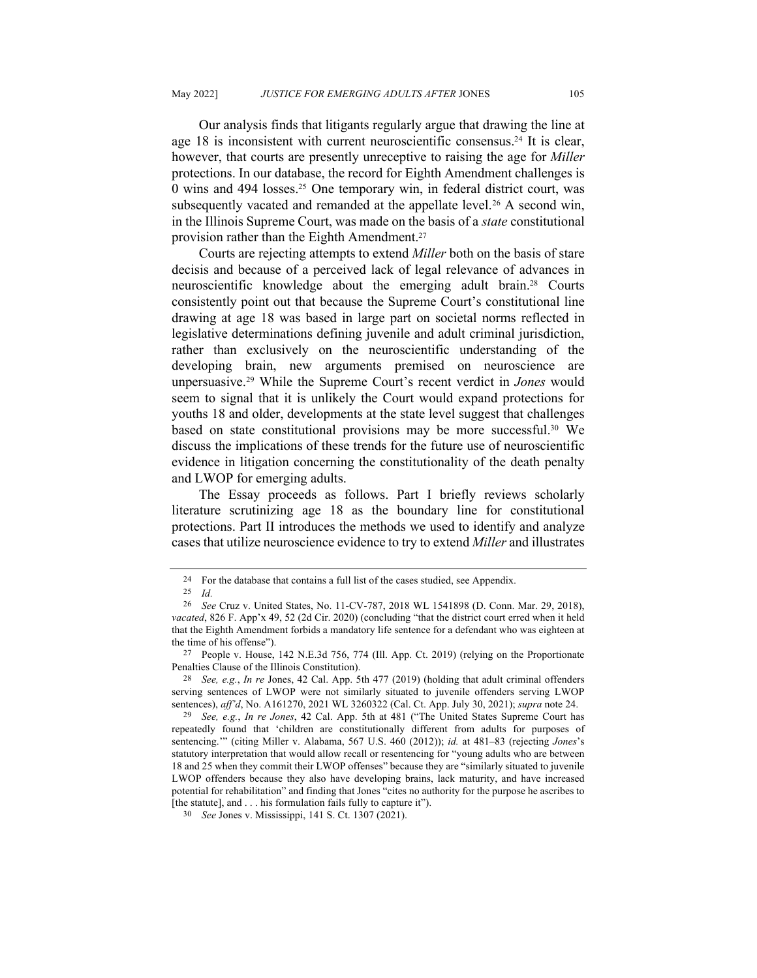Our analysis finds that litigants regularly argue that drawing the line at age 18 is inconsistent with current neuroscientific consensus.24 It is clear, however, that courts are presently unreceptive to raising the age for *Miller*  protections. In our database, the record for Eighth Amendment challenges is 0 wins and 494 losses.25 One temporary win, in federal district court, was subsequently vacated and remanded at the appellate level.<sup>26</sup> A second win, in the Illinois Supreme Court, was made on the basis of a *state* constitutional provision rather than the Eighth Amendment.27

Courts are rejecting attempts to extend *Miller* both on the basis of stare decisis and because of a perceived lack of legal relevance of advances in neuroscientific knowledge about the emerging adult brain.28 Courts consistently point out that because the Supreme Court's constitutional line drawing at age 18 was based in large part on societal norms reflected in legislative determinations defining juvenile and adult criminal jurisdiction, rather than exclusively on the neuroscientific understanding of the developing brain, new arguments premised on neuroscience are unpersuasive.29 While the Supreme Court's recent verdict in *Jones* would seem to signal that it is unlikely the Court would expand protections for youths 18 and older, developments at the state level suggest that challenges based on state constitutional provisions may be more successful.30 We discuss the implications of these trends for the future use of neuroscientific evidence in litigation concerning the constitutionality of the death penalty and LWOP for emerging adults.

The Essay proceeds as follows. Part I briefly reviews scholarly literature scrutinizing age 18 as the boundary line for constitutional protections. Part II introduces the methods we used to identify and analyze cases that utilize neuroscience evidence to try to extend *Miller* and illustrates

<sup>24</sup> For the database that contains a full list of the cases studied, see Appendix.

<sup>25</sup> *Id.*

<sup>26</sup> *See* Cruz v. United States, No. 11-CV-787, 2018 WL 1541898 (D. Conn. Mar. 29, 2018), *vacated*, 826 F. App'x 49, 52 (2d Cir. 2020) (concluding "that the district court erred when it held that the Eighth Amendment forbids a mandatory life sentence for a defendant who was eighteen at the time of his offense").

<sup>27</sup> People v. House, 142 N.E.3d 756, 774 (Ill. App. Ct. 2019) (relying on the Proportionate Penalties Clause of the Illinois Constitution).

<sup>28</sup> *See, e.g.*, *In re* Jones, 42 Cal. App. 5th 477 (2019) (holding that adult criminal offenders serving sentences of LWOP were not similarly situated to juvenile offenders serving LWOP sentences), *aff'd*, No. A161270, 2021 WL 3260322 (Cal. Ct. App. July 30, 2021); *supra* note 24.

<sup>29</sup> *See, e.g.*, *In re Jones*, 42 Cal. App. 5th at 481 ("The United States Supreme Court has repeatedly found that 'children are constitutionally different from adults for purposes of sentencing.'" (citing Miller v. Alabama, 567 U.S. 460 (2012)); *id.* at 481–83 (rejecting *Jones*'s statutory interpretation that would allow recall or resentencing for "young adults who are between 18 and 25 when they commit their LWOP offenses" because they are "similarly situated to juvenile LWOP offenders because they also have developing brains, lack maturity, and have increased potential for rehabilitation" and finding that Jones "cites no authority for the purpose he ascribes to [the statute], and . . . his formulation fails fully to capture it").

<sup>30</sup> *See* Jones v. Mississippi, 141 S. Ct. 1307 (2021).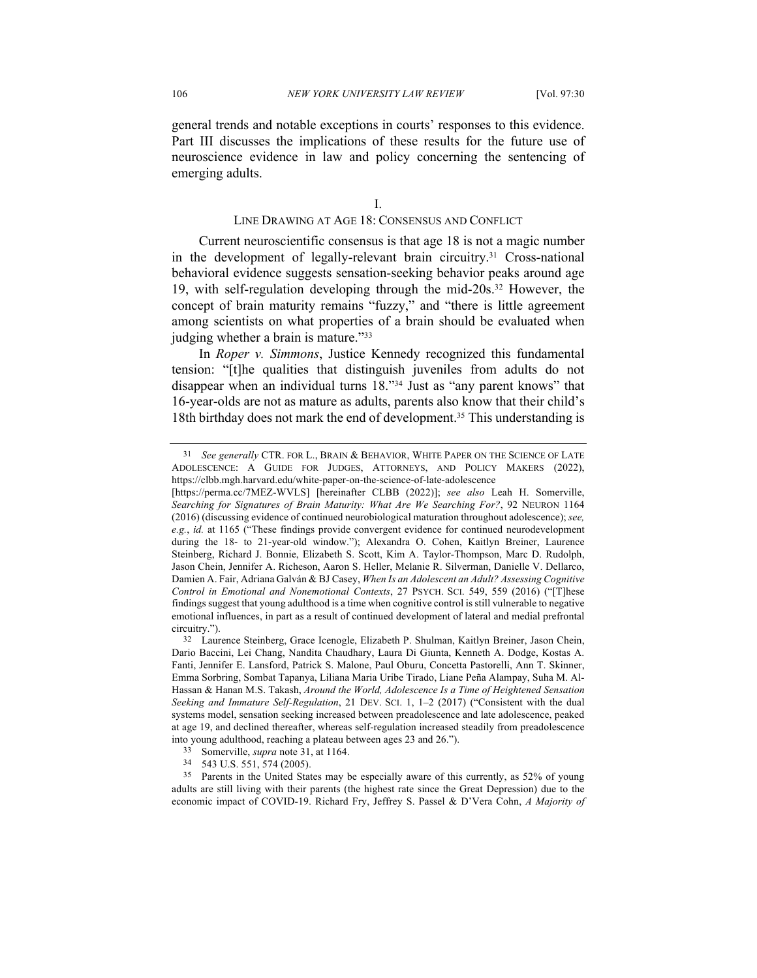general trends and notable exceptions in courts' responses to this evidence. Part III discusses the implications of these results for the future use of neuroscience evidence in law and policy concerning the sentencing of emerging adults.

I.

### LINE DRAWING AT AGE 18: CONSENSUS AND CONFLICT

Current neuroscientific consensus is that age 18 is not a magic number in the development of legally-relevant brain circuitry.31 Cross-national behavioral evidence suggests sensation-seeking behavior peaks around age 19, with self-regulation developing through the mid-20s.32 However, the concept of brain maturity remains "fuzzy," and "there is little agreement among scientists on what properties of a brain should be evaluated when judging whether a brain is mature."33

In *Roper v. Simmons*, Justice Kennedy recognized this fundamental tension: "[t]he qualities that distinguish juveniles from adults do not disappear when an individual turns 18."34 Just as "any parent knows" that 16-year-olds are not as mature as adults, parents also know that their child's 18th birthday does not mark the end of development.<sup>35</sup> This understanding is

<sup>31</sup> *See generally* CTR. FOR L., BRAIN & BEHAVIOR, WHITE PAPER ON THE SCIENCE OF LATE ADOLESCENCE: A GUIDE FOR JUDGES, ATTORNEYS, AND POLICY MAKERS (2022), https://clbb.mgh.harvard.edu/white-paper-on-the-science-of-late-adolescence

<sup>[</sup>https://perma.cc/7MEZ-WVLS] [hereinafter CLBB (2022)]; *see also* Leah H. Somerville, *Searching for Signatures of Brain Maturity: What Are We Searching For?*, 92 NEURON 1164 (2016) (discussing evidence of continued neurobiological maturation throughout adolescence); *see, e.g.*, *id.* at 1165 ("These findings provide convergent evidence for continued neurodevelopment during the 18- to 21-year-old window."); Alexandra O. Cohen, Kaitlyn Breiner, Laurence Steinberg, Richard J. Bonnie, Elizabeth S. Scott, Kim A. Taylor-Thompson, Marc D. Rudolph, Jason Chein, Jennifer A. Richeson, Aaron S. Heller, Melanie R. Silverman, Danielle V. Dellarco, Damien A. Fair, Adriana Galván & BJ Casey, *When Is an Adolescent an Adult? Assessing Cognitive Control in Emotional and Nonemotional Contexts*, 27 PSYCH. SCI. 549, 559 (2016) ("[T]hese findings suggest that young adulthood is a time when cognitive control is still vulnerable to negative emotional influences, in part as a result of continued development of lateral and medial prefrontal circuitry.").

<sup>32</sup> Laurence Steinberg, Grace Icenogle, Elizabeth P. Shulman, Kaitlyn Breiner, Jason Chein, Dario Baccini, Lei Chang, Nandita Chaudhary, Laura Di Giunta, Kenneth A. Dodge, Kostas A. Fanti, Jennifer E. Lansford, Patrick S. Malone, Paul Oburu, Concetta Pastorelli, Ann T. Skinner, Emma Sorbring, Sombat Tapanya, Liliana Maria Uribe Tirado, Liane Peña Alampay, Suha M. Al-Hassan & Hanan M.S. Takash, *Around the World, Adolescence Is a Time of Heightened Sensation Seeking and Immature Self‐Regulation*, 21 DEV. SCI. 1, 1–2 (2017) ("Consistent with the dual systems model, sensation seeking increased between preadolescence and late adolescence, peaked at age 19, and declined thereafter, whereas self‐regulation increased steadily from preadolescence into young adulthood, reaching a plateau between ages 23 and 26.").

<sup>33</sup> Somerville, *supra* note 31, at 1164.

<sup>34</sup> 543 U.S. 551, 574 (2005).

<sup>35</sup> Parents in the United States may be especially aware of this currently, as 52% of young adults are still living with their parents (the highest rate since the Great Depression) due to the economic impact of COVID-19. Richard Fry, Jeffrey S. Passel & D'Vera Cohn, *A Majority of*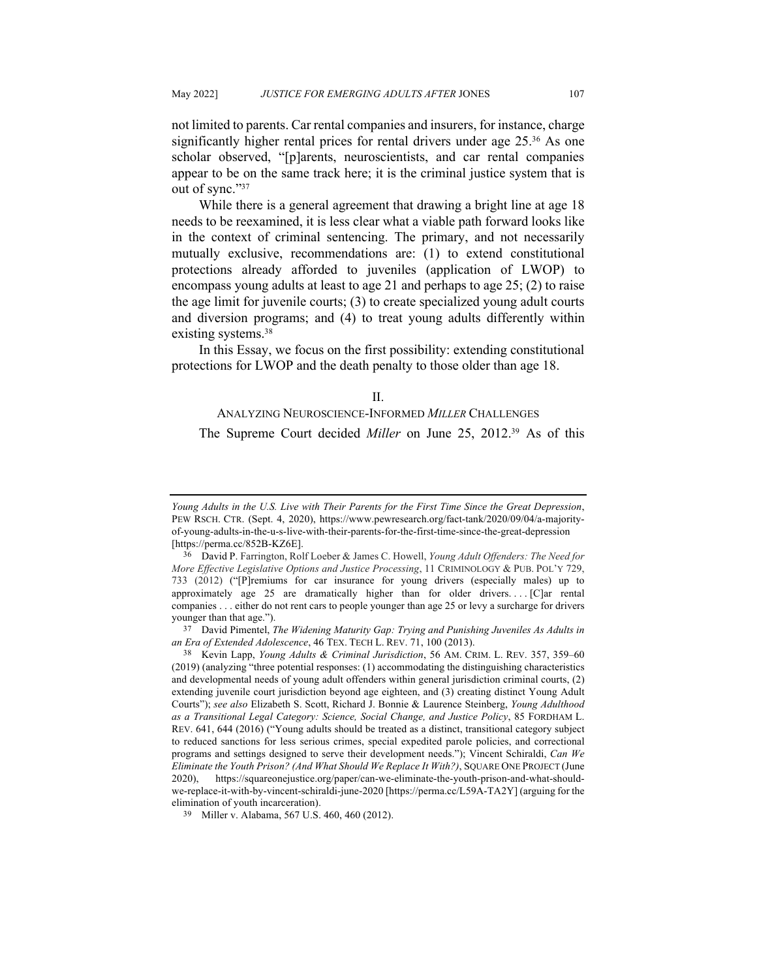not limited to parents. Car rental companies and insurers, for instance, charge significantly higher rental prices for rental drivers under age 25.<sup>36</sup> As one scholar observed, "[p]arents, neuroscientists, and car rental companies appear to be on the same track here; it is the criminal justice system that is out of sync."37

While there is a general agreement that drawing a bright line at age 18 needs to be reexamined, it is less clear what a viable path forward looks like in the context of criminal sentencing. The primary, and not necessarily mutually exclusive, recommendations are: (1) to extend constitutional protections already afforded to juveniles (application of LWOP) to encompass young adults at least to age 21 and perhaps to age 25; (2) to raise the age limit for juvenile courts; (3) to create specialized young adult courts and diversion programs; and (4) to treat young adults differently within existing systems.<sup>38</sup>

In this Essay, we focus on the first possibility: extending constitutional protections for LWOP and the death penalty to those older than age 18.

II.

# ANALYZING NEUROSCIENCE-INFORMED *MILLER* CHALLENGES The Supreme Court decided *Miller* on June 25, 2012.39 As of this

*Young Adults in the U.S. Live with Their Parents for the First Time Since the Great Depression*, PEW RSCH. CTR. (Sept. 4, 2020), https://www.pewresearch.org/fact-tank/2020/09/04/a-majorityof-young-adults-in-the-u-s-live-with-their-parents-for-the-first-time-since-the-great-depression [https://perma.cc/852B-KZ6E].

<sup>36</sup> David P. Farrington, Rolf Loeber & James C. Howell, *Young Adult Offenders: The Need for More Effective Legislative Options and Justice Processing*, 11 CRIMINOLOGY & PUB. POL'Y 729, 733 (2012) ("[P]remiums for car insurance for young drivers (especially males) up to approximately age 25 are dramatically higher than for older drivers.... $[C]$ ar rental companies . . . either do not rent cars to people younger than age 25 or levy a surcharge for drivers younger than that age.").

<sup>37</sup> David Pimentel, *The Widening Maturity Gap: Trying and Punishing Juveniles As Adults in an Era of Extended Adolescence*, 46 TEX. TECH L. REV. 71, 100 (2013).

<sup>38</sup> Kevin Lapp, *Young Adults & Criminal Jurisdiction*, 56 AM. CRIM. L. REV. 357, 359–60 (2019) (analyzing "three potential responses: (1) accommodating the distinguishing characteristics and developmental needs of young adult offenders within general jurisdiction criminal courts, (2) extending juvenile court jurisdiction beyond age eighteen, and (3) creating distinct Young Adult Courts"); *see also* Elizabeth S. Scott, Richard J. Bonnie & Laurence Steinberg, *Young Adulthood as a Transitional Legal Category: Science, Social Change, and Justice Policy*, 85 FORDHAM L. REV. 641, 644 (2016) ("Young adults should be treated as a distinct, transitional category subject to reduced sanctions for less serious crimes, special expedited parole policies, and correctional programs and settings designed to serve their development needs."); Vincent Schiraldi, *Can We Eliminate the Youth Prison? (And What Should We Replace It With?)*, SQUARE ONE PROJECT (June 2020), https://squareonejustice.org/paper/can-we-eliminate-the-youth-prison-and-what-shouldwe-replace-it-with-by-vincent-schiraldi-june-2020 [https://perma.cc/L59A-TA2Y] (arguing for the elimination of youth incarceration). 39 Miller v. Alabama, 567 U.S. 460, 460 (2012).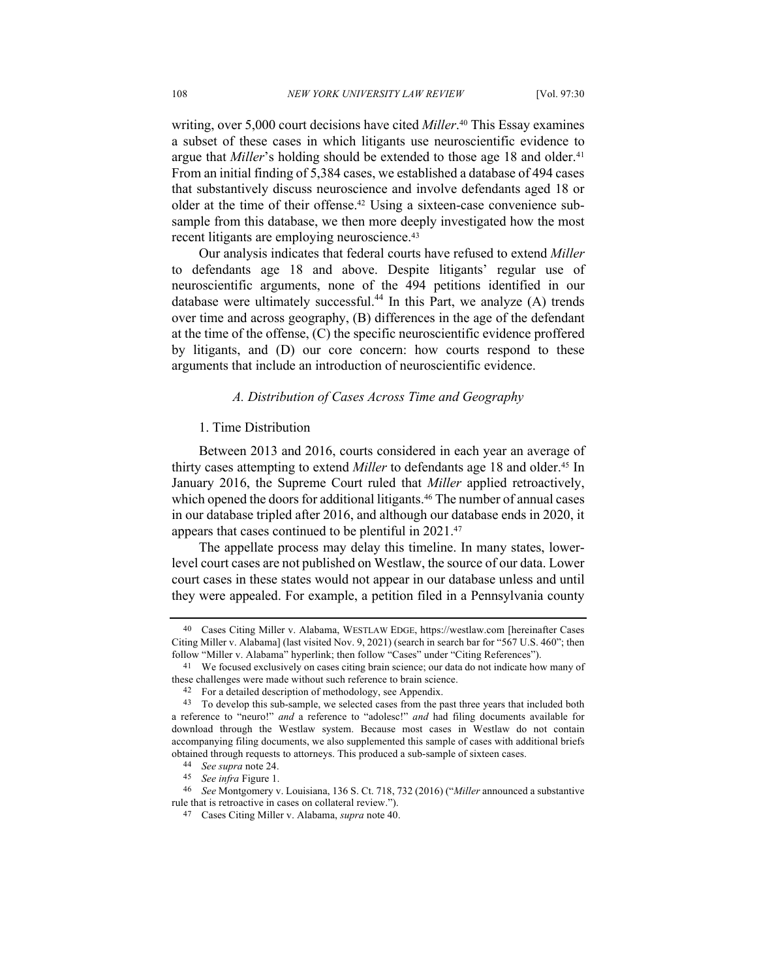writing, over 5,000 court decisions have cited *Miller*. <sup>40</sup> This Essay examines a subset of these cases in which litigants use neuroscientific evidence to argue that *Miller*'s holding should be extended to those age 18 and older.<sup>41</sup> From an initial finding of 5,384 cases, we established a database of 494 cases that substantively discuss neuroscience and involve defendants aged 18 or older at the time of their offense.42 Using a sixteen-case convenience subsample from this database, we then more deeply investigated how the most recent litigants are employing neuroscience.<sup>43</sup>

Our analysis indicates that federal courts have refused to extend *Miller* to defendants age 18 and above. Despite litigants' regular use of neuroscientific arguments, none of the 494 petitions identified in our database were ultimately successful.<sup>44</sup> In this Part, we analyze  $(A)$  trends over time and across geography, (B) differences in the age of the defendant at the time of the offense, (C) the specific neuroscientific evidence proffered by litigants, and (D) our core concern: how courts respond to these arguments that include an introduction of neuroscientific evidence.

### *A. Distribution of Cases Across Time and Geography*

### 1. Time Distribution

Between 2013 and 2016, courts considered in each year an average of thirty cases attempting to extend *Miller* to defendants age 18 and older.45 In January 2016, the Supreme Court ruled that *Miller* applied retroactively, which opened the doors for additional litigants.<sup>46</sup> The number of annual cases in our database tripled after 2016, and although our database ends in 2020, it appears that cases continued to be plentiful in 2021.47

The appellate process may delay this timeline. In many states, lowerlevel court cases are not published on Westlaw, the source of our data. Lower court cases in these states would not appear in our database unless and until they were appealed. For example, a petition filed in a Pennsylvania county

<sup>40</sup> Cases Citing Miller v. Alabama, WESTLAW EDGE, https://westlaw.com [hereinafter Cases Citing Miller v. Alabama] (last visited Nov. 9, 2021) (search in search bar for "567 U.S. 460"; then follow "Miller v. Alabama" hyperlink; then follow "Cases" under "Citing References").

<sup>41</sup> We focused exclusively on cases citing brain science; our data do not indicate how many of these challenges were made without such reference to brain science.<br><sup>42</sup> For a detailed description of methodology, see Appendix.

<sup>43</sup> To develop this sub-sample, we selected cases from the past three years that included both a reference to "neuro!" *and* a reference to "adolesc!" *and* had filing documents available for download through the Westlaw system. Because most cases in Westlaw do not contain accompanying filing documents, we also supplemented this sample of cases with additional briefs obtained through requests to attorneys. This produced a sub-sample of sixteen cases.

<sup>44</sup> *See supra* note 24.

<sup>45</sup> *See infra* Figure 1.

<sup>46</sup> *See* Montgomery v. Louisiana, 136 S. Ct. 718, 732 (2016) ("*Miller* announced a substantive rule that is retroactive in cases on collateral review.").

<sup>47</sup> Cases Citing Miller v. Alabama, *supra* note 40.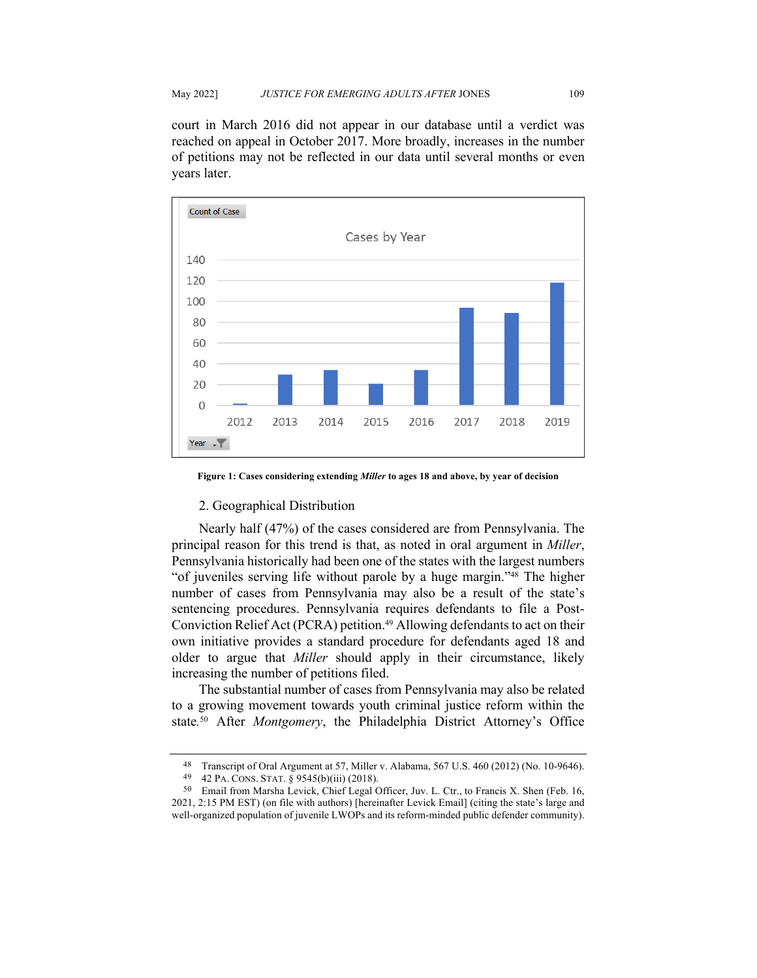court in March 2016 did not appear in our database until a verdict was reached on appeal in October 2017. More broadly, increases in the number of petitions may not be reflected in our data until several months or even years later.



**Figure 1: Cases considering extending** *Miller* **to ages 18 and above, by year of decision**

### 2. Geographical Distribution

Nearly half (47%) of the cases considered are from Pennsylvania. The principal reason for this trend is that, as noted in oral argument in *Miller*, Pennsylvania historically had been one of the states with the largest numbers "of juveniles serving life without parole by a huge margin."48 The higher number of cases from Pennsylvania may also be a result of the state's sentencing procedures. Pennsylvania requires defendants to file a Post-Conviction Relief Act (PCRA) petition.<sup>49</sup> Allowing defendants to act on their own initiative provides a standard procedure for defendants aged 18 and older to argue that *Miller* should apply in their circumstance, likely increasing the number of petitions filed.

The substantial number of cases from Pennsylvania may also be related to a growing movement towards youth criminal justice reform within the state*.* <sup>50</sup> After *Montgomery*, the Philadelphia District Attorney's Office

<sup>48</sup> Transcript of Oral Argument at 57, Miller v. Alabama, 567 U.S. 460 (2012) (No. 10-9646). 49 42 PA. CONS. STAT. § 9545(b)(iii) (2018).

<sup>50</sup> Email from Marsha Levick, Chief Legal Officer, Juv. L. Ctr., to Francis X. Shen (Feb. 16, 2021, 2:15 PM EST) (on file with authors) [hereinafter Levick Email] (citing the state's large and well-organized population of juvenile LWOPs and its reform-minded public defender community).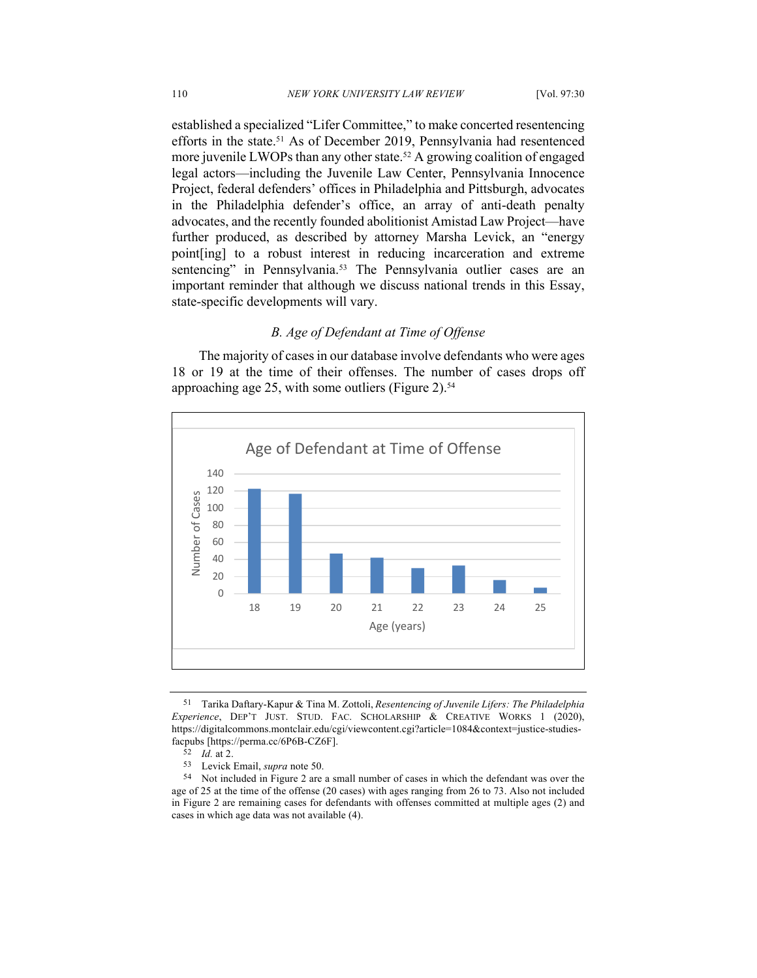established a specialized "Lifer Committee," to make concerted resentencing efforts in the state.<sup>51</sup> As of December 2019, Pennsylvania had resentenced more juvenile LWOPs than any other state.<sup>52</sup> A growing coalition of engaged legal actors—including the Juvenile Law Center, Pennsylvania Innocence Project, federal defenders' offices in Philadelphia and Pittsburgh, advocates in the Philadelphia defender's office, an array of anti-death penalty advocates, and the recently founded abolitionist Amistad Law Project—have further produced, as described by attorney Marsha Levick, an "energy point[ing] to a robust interest in reducing incarceration and extreme sentencing" in Pennsylvania.<sup>53</sup> The Pennsylvania outlier cases are an important reminder that although we discuss national trends in this Essay, state-specific developments will vary.

### *B. Age of Defendant at Time of Offense*

The majority of cases in our database involve defendants who were ages 18 or 19 at the time of their offenses. The number of cases drops off approaching age 25, with some outliers (Figure 2).<sup>54</sup>



<sup>51</sup> Tarika Daftary-Kapur & Tina M. Zottoli, *Resentencing of Juvenile Lifers: The Philadelphia Experience*, DEP'T JUST. STUD. FAC. SCHOLARSHIP & CREATIVE WORKS 1 (2020), https://digitalcommons.montclair.edu/cgi/viewcontent.cgi?article=1084&context=justice-studiesfacpubs [https://perma.cc/6P6B-CZ6F]. 52 *Id.* at 2.

<sup>53</sup> Levick Email, *supra* note 50.

<sup>54</sup> Not included in Figure 2 are a small number of cases in which the defendant was over the age of 25 at the time of the offense (20 cases) with ages ranging from 26 to 73. Also not included in Figure 2 are remaining cases for defendants with offenses committed at multiple ages (2) and cases in which age data was not available (4).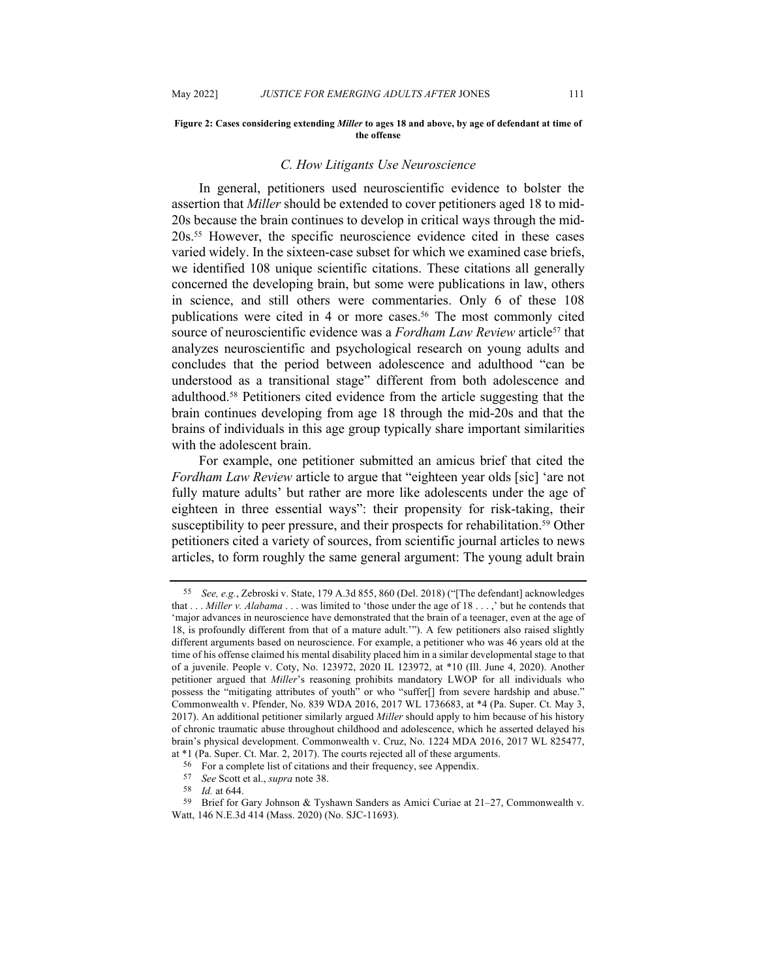#### **Figure 2: Cases considering extending** *Miller* **to ages 18 and above, by age of defendant at time of the offense**

#### *C. How Litigants Use Neuroscience*

In general, petitioners used neuroscientific evidence to bolster the assertion that *Miller* should be extended to cover petitioners aged 18 to mid-20s because the brain continues to develop in critical ways through the mid-20s.55 However, the specific neuroscience evidence cited in these cases varied widely. In the sixteen-case subset for which we examined case briefs, we identified 108 unique scientific citations. These citations all generally concerned the developing brain, but some were publications in law, others in science, and still others were commentaries. Only 6 of these 108 publications were cited in 4 or more cases.<sup>56</sup> The most commonly cited source of neuroscientific evidence was a *Fordham Law Review* article<sup>57</sup> that analyzes neuroscientific and psychological research on young adults and concludes that the period between adolescence and adulthood "can be understood as a transitional stage" different from both adolescence and adulthood.58 Petitioners cited evidence from the article suggesting that the brain continues developing from age 18 through the mid-20s and that the brains of individuals in this age group typically share important similarities with the adolescent brain.

For example, one petitioner submitted an amicus brief that cited the *Fordham Law Review* article to argue that "eighteen year olds [sic] 'are not fully mature adults' but rather are more like adolescents under the age of eighteen in three essential ways": their propensity for risk-taking, their susceptibility to peer pressure, and their prospects for rehabilitation.<sup>59</sup> Other petitioners cited a variety of sources, from scientific journal articles to news articles, to form roughly the same general argument: The young adult brain

<sup>55</sup> *See, e.g.*, Zebroski v. State, 179 A.3d 855, 860 (Del. 2018) ("[The defendant] acknowledges that . . . *Miller v. Alabama* . . . was limited to 'those under the age of 18 . . . ,' but he contends that 'major advances in neuroscience have demonstrated that the brain of a teenager, even at the age of 18, is profoundly different from that of a mature adult.'"). A few petitioners also raised slightly different arguments based on neuroscience. For example, a petitioner who was 46 years old at the time of his offense claimed his mental disability placed him in a similar developmental stage to that of a juvenile. People v. Coty, No. 123972, 2020 IL 123972, at \*10 (Ill. June 4, 2020). Another petitioner argued that *Miller*'s reasoning prohibits mandatory LWOP for all individuals who possess the "mitigating attributes of youth" or who "suffer[] from severe hardship and abuse." Commonwealth v. Pfender, No. 839 WDA 2016, 2017 WL 1736683, at \*4 (Pa. Super. Ct. May 3, 2017). An additional petitioner similarly argued *Miller* should apply to him because of his history of chronic traumatic abuse throughout childhood and adolescence, which he asserted delayed his brain's physical development. Commonwealth v. Cruz, No. 1224 MDA 2016, 2017 WL 825477, at  $*1$  (Pa. Super. Ct. Mar. 2, 2017). The courts rejected all of these arguments.  $56$  For a complete list of citations and their frequency, see Appendix.

<sup>57</sup> *See* Scott et al., *supra* note 38.

*Id.* at 644.

<sup>59</sup> Brief for Gary Johnson & Tyshawn Sanders as Amici Curiae at 21–27, Commonwealth v. Watt, 146 N.E.3d 414 (Mass. 2020) (No. SJC-11693).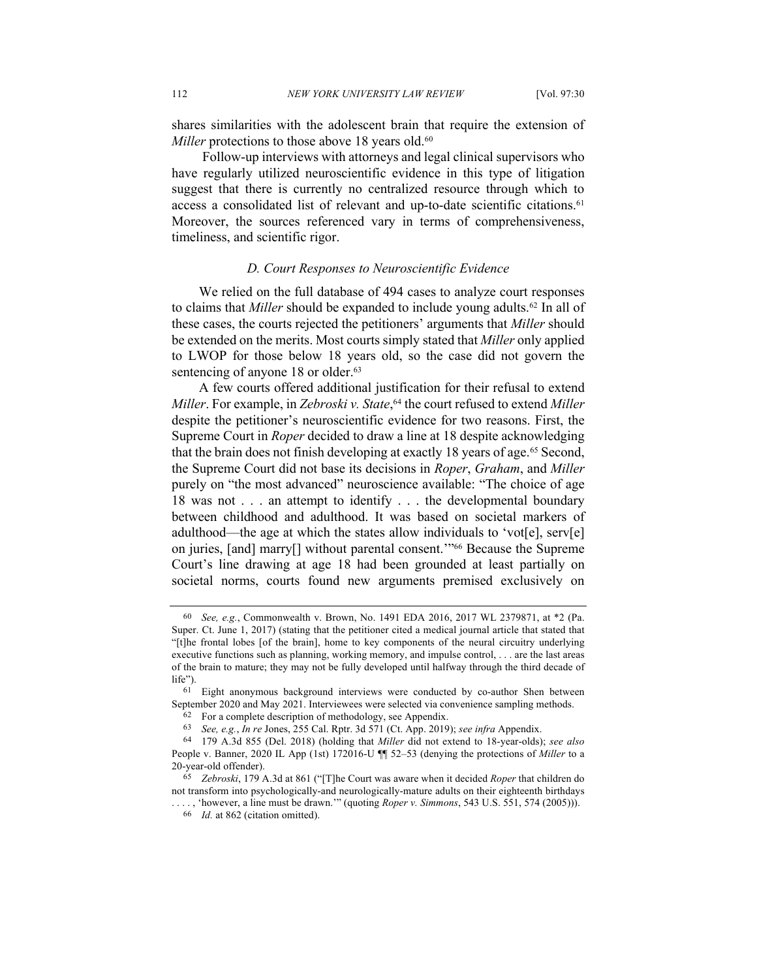shares similarities with the adolescent brain that require the extension of *Miller* protections to those above 18 years old.<sup>60</sup>

Follow-up interviews with attorneys and legal clinical supervisors who have regularly utilized neuroscientific evidence in this type of litigation suggest that there is currently no centralized resource through which to access a consolidated list of relevant and up-to-date scientific citations.<sup>61</sup> Moreover, the sources referenced vary in terms of comprehensiveness, timeliness, and scientific rigor.

### *D. Court Responses to Neuroscientific Evidence*

We relied on the full database of 494 cases to analyze court responses to claims that *Miller* should be expanded to include young adults.<sup>62</sup> In all of these cases, the courts rejected the petitioners' arguments that *Miller* should be extended on the merits. Most courts simply stated that *Miller* only applied to LWOP for those below 18 years old, so the case did not govern the sentencing of anyone 18 or older.<sup>63</sup>

A few courts offered additional justification for their refusal to extend *Miller*. For example, in *Zebroski v. State*, <sup>64</sup> the court refused to extend *Miller*  despite the petitioner's neuroscientific evidence for two reasons. First, the Supreme Court in *Roper* decided to draw a line at 18 despite acknowledging that the brain does not finish developing at exactly 18 years of age.65 Second, the Supreme Court did not base its decisions in *Roper*, *Graham*, and *Miller* purely on "the most advanced" neuroscience available: "The choice of age 18 was not . . . an attempt to identify . . . the developmental boundary between childhood and adulthood. It was based on societal markers of adulthood—the age at which the states allow individuals to 'vot[e], serv[e] on juries, [and] marry[] without parental consent.'"66 Because the Supreme Court's line drawing at age 18 had been grounded at least partially on societal norms, courts found new arguments premised exclusively on

<sup>60</sup> *See, e.g.*, Commonwealth v. Brown, No. 1491 EDA 2016, 2017 WL 2379871, at \*2 (Pa. Super. Ct. June 1, 2017) (stating that the petitioner cited a medical journal article that stated that "[t]he frontal lobes [of the brain], home to key components of the neural circuitry underlying executive functions such as planning, working memory, and impulse control, . . . are the last areas of the brain to mature; they may not be fully developed until halfway through the third decade of life").

<sup>61</sup> Eight anonymous background interviews were conducted by co-author Shen between September 2020 and May 2021. Interviewees were selected via convenience sampling methods.

<sup>62</sup> For a complete description of methodology, see Appendix.

<sup>63</sup> *See, e.g.*, *In re* Jones, 255 Cal. Rptr. 3d 571 (Ct. App. 2019); *see infra* Appendix.

<sup>64</sup> 179 A.3d 855 (Del. 2018) (holding that *Miller* did not extend to 18-year-olds); *see also* People v. Banner, 2020 IL App (1st) 172016-U ¶¶ 52–53 (denying the protections of *Miller* to a 20-year-old offender).

<sup>65</sup> *Zebroski*, 179 A.3d at 861 ("[T]he Court was aware when it decided *Roper* that children do not transform into psychologically-and neurologically-mature adults on their eighteenth birthdays . . . . , 'however, a line must be drawn.'" (quoting *Roper v. Simmons*, 543 U.S. 551, 574 (2005))).

<sup>66</sup> *Id.* at 862 (citation omitted).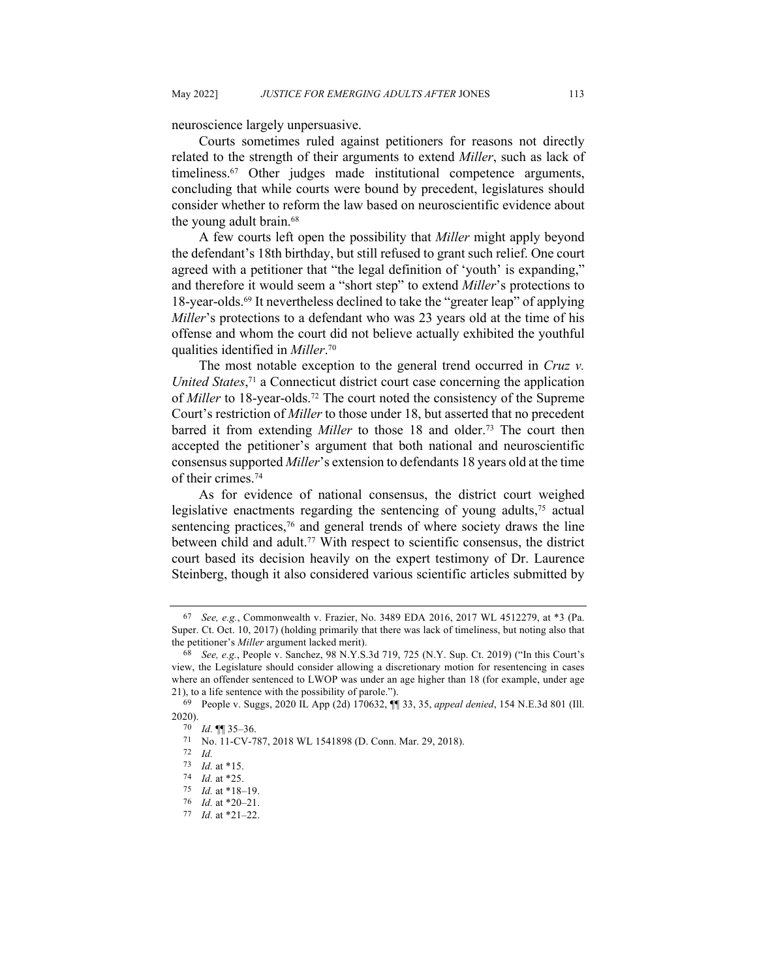neuroscience largely unpersuasive.

Courts sometimes ruled against petitioners for reasons not directly related to the strength of their arguments to extend *Miller*, such as lack of timeliness.67 Other judges made institutional competence arguments, concluding that while courts were bound by precedent, legislatures should consider whether to reform the law based on neuroscientific evidence about the young adult brain.<sup>68</sup>

A few courts left open the possibility that *Miller* might apply beyond the defendant's 18th birthday, but still refused to grant such relief. One court agreed with a petitioner that "the legal definition of 'youth' is expanding," and therefore it would seem a "short step" to extend *Miller*'s protections to 18-year-olds.69 It nevertheless declined to take the "greater leap" of applying *Miller*'s protections to a defendant who was 23 years old at the time of his offense and whom the court did not believe actually exhibited the youthful qualities identified in *Miller*. 70

The most notable exception to the general trend occurred in *Cruz v. United States*, <sup>71</sup> a Connecticut district court case concerning the application of *Miller* to 18-year-olds.72 The court noted the consistency of the Supreme Court's restriction of *Miller* to those under 18, but asserted that no precedent barred it from extending *Miller* to those 18 and older.<sup>73</sup> The court then accepted the petitioner's argument that both national and neuroscientific consensus supported *Miller*'s extension to defendants 18 years old at the time of their crimes.74

As for evidence of national consensus, the district court weighed legislative enactments regarding the sentencing of young adults,<sup>75</sup> actual sentencing practices,<sup>76</sup> and general trends of where society draws the line between child and adult.<sup>77</sup> With respect to scientific consensus, the district court based its decision heavily on the expert testimony of Dr. Laurence Steinberg, though it also considered various scientific articles submitted by

<sup>67</sup> *See, e.g.*, Commonwealth v. Frazier, No. 3489 EDA 2016, 2017 WL 4512279, at \*3 (Pa. Super. Ct. Oct. 10, 2017) (holding primarily that there was lack of timeliness, but noting also that the petitioner's *Miller* argument lacked merit).

<sup>68</sup> *See, e.g.*, People v. Sanchez, 98 N.Y.S.3d 719, 725 (N.Y. Sup. Ct. 2019) ("In this Court's view, the Legislature should consider allowing a discretionary motion for resentencing in cases where an offender sentenced to LWOP was under an age higher than 18 (for example, under age 21), to a life sentence with the possibility of parole.").

<sup>69</sup> People v. Suggs, 2020 IL App (2d) 170632, ¶¶ 33, 35, *appeal denied*, 154 N.E.3d 801 (Ill. 2020).

<sup>70</sup> *Id.* ¶¶ 35–36. 71 No. 11-CV-787, 2018 WL 1541898 (D. Conn. Mar. 29, 2018). 72 *Id.*

<sup>73</sup> *Id.* at \*15.

<sup>74</sup> *Id.* at \*25.

<sup>75</sup> *Id.* at \*18–19.

<sup>76</sup> *Id.* at \*20–21.

<sup>77</sup> *Id.* at \*21–22.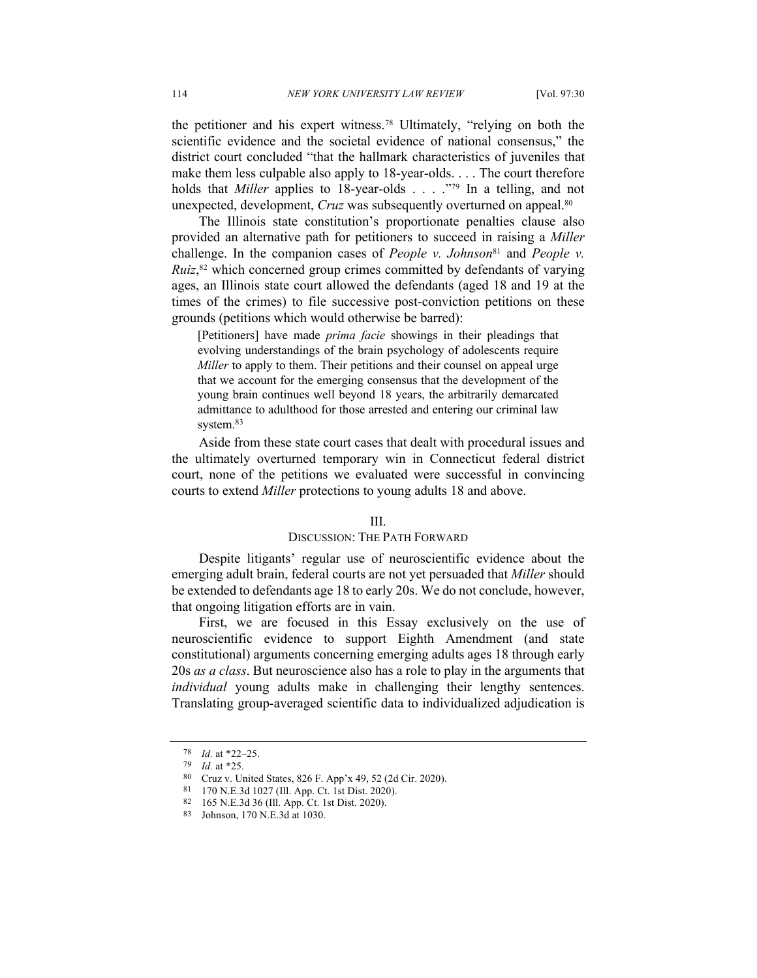the petitioner and his expert witness.78 Ultimately, "relying on both the scientific evidence and the societal evidence of national consensus," the district court concluded "that the hallmark characteristics of juveniles that make them less culpable also apply to 18-year-olds. . . . The court therefore holds that *Miller* applies to 18-year-olds . . . ."79 In a telling, and not unexpected, development, *Cruz* was subsequently overturned on appeal.<sup>80</sup>

The Illinois state constitution's proportionate penalties clause also provided an alternative path for petitioners to succeed in raising a *Miller*  challenge. In the companion cases of *People v. Johnson*<sup>81</sup> and *People v.* Ruiz,<sup>82</sup> which concerned group crimes committed by defendants of varying ages, an Illinois state court allowed the defendants (aged 18 and 19 at the times of the crimes) to file successive post-conviction petitions on these grounds (petitions which would otherwise be barred):

[Petitioners] have made *prima facie* showings in their pleadings that evolving understandings of the brain psychology of adolescents require *Miller* to apply to them. Their petitions and their counsel on appeal urge that we account for the emerging consensus that the development of the young brain continues well beyond 18 years, the arbitrarily demarcated admittance to adulthood for those arrested and entering our criminal law system.<sup>83</sup>

Aside from these state court cases that dealt with procedural issues and the ultimately overturned temporary win in Connecticut federal district court, none of the petitions we evaluated were successful in convincing courts to extend *Miller* protections to young adults 18 and above.

#### III.

### DISCUSSION: THE PATH FORWARD

Despite litigants' regular use of neuroscientific evidence about the emerging adult brain, federal courts are not yet persuaded that *Miller* should be extended to defendants age 18 to early 20s. We do not conclude, however, that ongoing litigation efforts are in vain.

First, we are focused in this Essay exclusively on the use of neuroscientific evidence to support Eighth Amendment (and state constitutional) arguments concerning emerging adults ages 18 through early 20s *as a class*. But neuroscience also has a role to play in the arguments that *individual* young adults make in challenging their lengthy sentences. Translating group-averaged scientific data to individualized adjudication is

<sup>78</sup> *Id.* at \*22–25.

<sup>79</sup> *Id.* at \*25.

<sup>80</sup> Cruz v. United States, 826 F. App'x 49, 52 (2d Cir. 2020).

<sup>81</sup> 170 N.E.3d 1027 (Ill. App. Ct. 1st Dist. 2020).

<sup>82</sup> 165 N.E.3d 36 (Ill. App. Ct. 1st Dist. 2020).

<sup>83</sup> Johnson, 170 N.E.3d at 1030.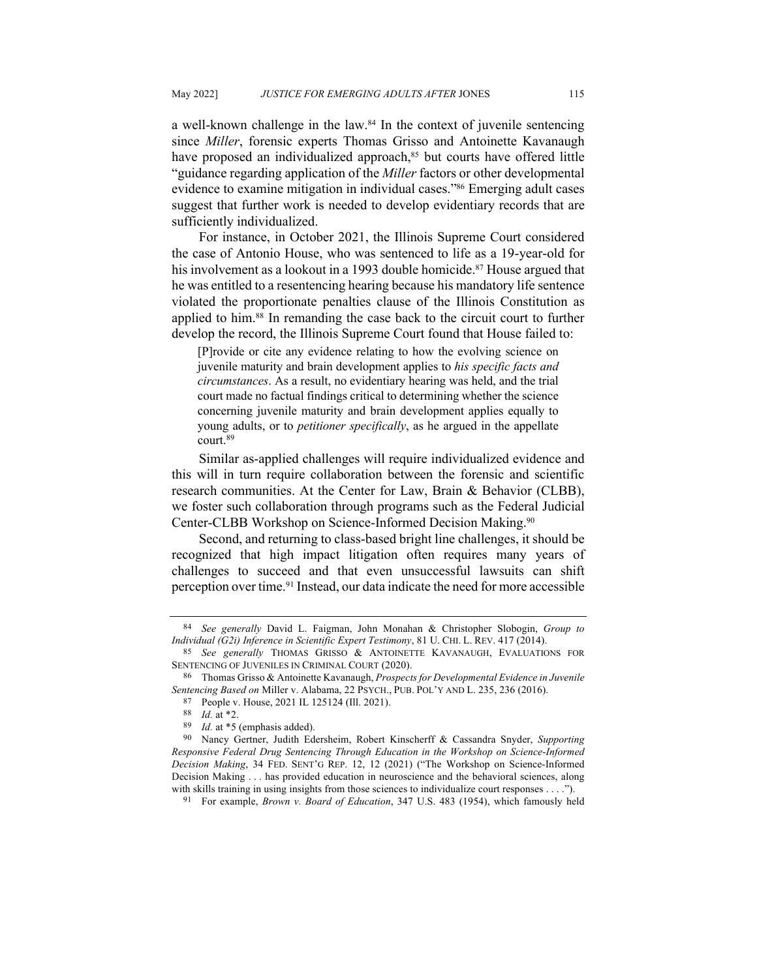a well-known challenge in the law.<sup>84</sup> In the context of juvenile sentencing since *Miller*, forensic experts Thomas Grisso and Antoinette Kavanaugh have proposed an individualized approach,<sup>85</sup> but courts have offered little "guidance regarding application of the *Miller* factors or other developmental evidence to examine mitigation in individual cases."86 Emerging adult cases suggest that further work is needed to develop evidentiary records that are sufficiently individualized.

For instance, in October 2021, the Illinois Supreme Court considered the case of Antonio House, who was sentenced to life as a 19-year-old for his involvement as a lookout in a 1993 double homicide.<sup>87</sup> House argued that he was entitled to a resentencing hearing because his mandatory life sentence violated the proportionate penalties clause of the Illinois Constitution as applied to him.88 In remanding the case back to the circuit court to further develop the record, the Illinois Supreme Court found that House failed to:

[P]rovide or cite any evidence relating to how the evolving science on juvenile maturity and brain development applies to *his specific facts and circumstances*. As a result, no evidentiary hearing was held, and the trial court made no factual findings critical to determining whether the science concerning juvenile maturity and brain development applies equally to young adults, or to *petitioner specifically*, as he argued in the appellate court.89

Similar as-applied challenges will require individualized evidence and this will in turn require collaboration between the forensic and scientific research communities. At the Center for Law, Brain & Behavior (CLBB), we foster such collaboration through programs such as the Federal Judicial Center-CLBB Workshop on Science-Informed Decision Making.90

Second, and returning to class-based bright line challenges, it should be recognized that high impact litigation often requires many years of challenges to succeed and that even unsuccessful lawsuits can shift perception over time.91 Instead, our data indicate the need for more accessible

<sup>84</sup> *See generally* David L. Faigman, John Monahan & Christopher Slobogin, *Group to Individual (G2i) Inference in Scientific Expert Testimony*, 81 U. CHI. L. REV. 417 (2014).

<sup>85</sup> *See generally* THOMAS GRISSO & ANTOINETTE KAVANAUGH, EVALUATIONS FOR SENTENCING OF JUVENILES IN CRIMINAL COURT (2020).

<sup>86</sup> Thomas Grisso & Antoinette Kavanaugh, *Prospects for Developmental Evidence in Juvenile Sentencing Based on* Miller v. Alabama, 22 PSYCH., PUB. POL'Y AND L. 235, 236 (2016).

<sup>87</sup> People v. House, 2021 IL 125124 (Ill. 2021).

<sup>88</sup> *Id.* at \*2.

<sup>89</sup> *Id.* at \*5 (emphasis added).

<sup>90</sup> Nancy Gertner, Judith Edersheim, Robert Kinscherff & Cassandra Snyder, *Supporting Responsive Federal Drug Sentencing Through Education in the Workshop on Science-Informed Decision Making*, 34 FED. SENT'G REP. 12, 12 (2021) ("The Workshop on Science-Informed Decision Making . . . has provided education in neuroscience and the behavioral sciences, along with skills training in using insights from those sciences to individualize court responses . . . .").

<sup>91</sup> For example, *Brown v. Board of Education*, 347 U.S. 483 (1954), which famously held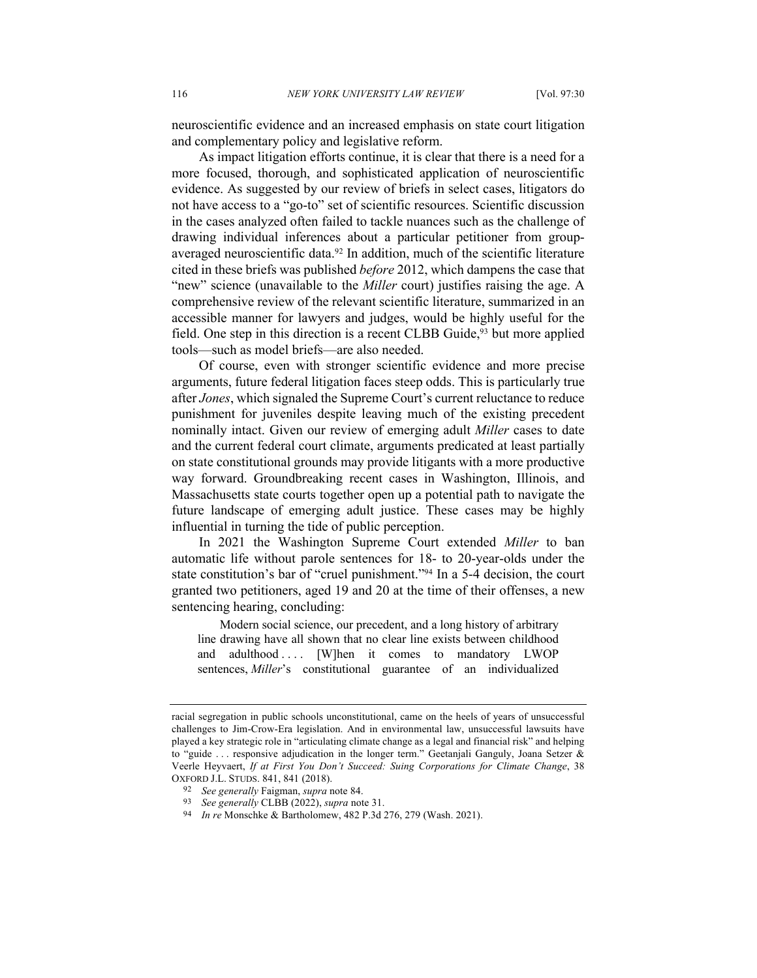neuroscientific evidence and an increased emphasis on state court litigation and complementary policy and legislative reform.

As impact litigation efforts continue, it is clear that there is a need for a more focused, thorough, and sophisticated application of neuroscientific evidence. As suggested by our review of briefs in select cases, litigators do not have access to a "go-to" set of scientific resources. Scientific discussion in the cases analyzed often failed to tackle nuances such as the challenge of drawing individual inferences about a particular petitioner from groupaveraged neuroscientific data.<sup>92</sup> In addition, much of the scientific literature cited in these briefs was published *before* 2012, which dampens the case that "new" science (unavailable to the *Miller* court) justifies raising the age. A comprehensive review of the relevant scientific literature, summarized in an accessible manner for lawyers and judges, would be highly useful for the field. One step in this direction is a recent CLBB Guide,<sup>93</sup> but more applied tools—such as model briefs—are also needed.

Of course, even with stronger scientific evidence and more precise arguments, future federal litigation faces steep odds. This is particularly true after *Jones*, which signaled the Supreme Court's current reluctance to reduce punishment for juveniles despite leaving much of the existing precedent nominally intact. Given our review of emerging adult *Miller* cases to date and the current federal court climate, arguments predicated at least partially on state constitutional grounds may provide litigants with a more productive way forward. Groundbreaking recent cases in Washington, Illinois, and Massachusetts state courts together open up a potential path to navigate the future landscape of emerging adult justice. These cases may be highly influential in turning the tide of public perception.

In 2021 the Washington Supreme Court extended *Miller* to ban automatic life without parole sentences for 18- to 20-year-olds under the state constitution's bar of "cruel punishment."94 In a 5-4 decision, the court granted two petitioners, aged 19 and 20 at the time of their offenses, a new sentencing hearing, concluding:

Modern social science, our precedent, and a long history of arbitrary line drawing have all shown that no clear line exists between childhood and adulthood  $\ldots$  [W]hen it comes to mandatory LWOP sentences, *Miller*'s constitutional guarantee of an individualized

racial segregation in public schools unconstitutional, came on the heels of years of unsuccessful challenges to Jim-Crow-Era legislation. And in environmental law, unsuccessful lawsuits have played a key strategic role in "articulating climate change as a legal and financial risk" and helping to "guide ... responsive adjudication in the longer term." Geetanjali Ganguly, Joana Setzer & Veerle Heyvaert, *If at First You Don't Succeed: Suing Corporations for Climate Change*, 38 OXFORD J.L. STUDS. 841, 841 (2018). 92 *See generally* Faigman, *supra* note 84.

<sup>93</sup> *See generally* CLBB (2022), *supra* note 31.

<sup>94</sup> *In re* Monschke & Bartholomew, 482 P.3d 276, 279 (Wash. 2021).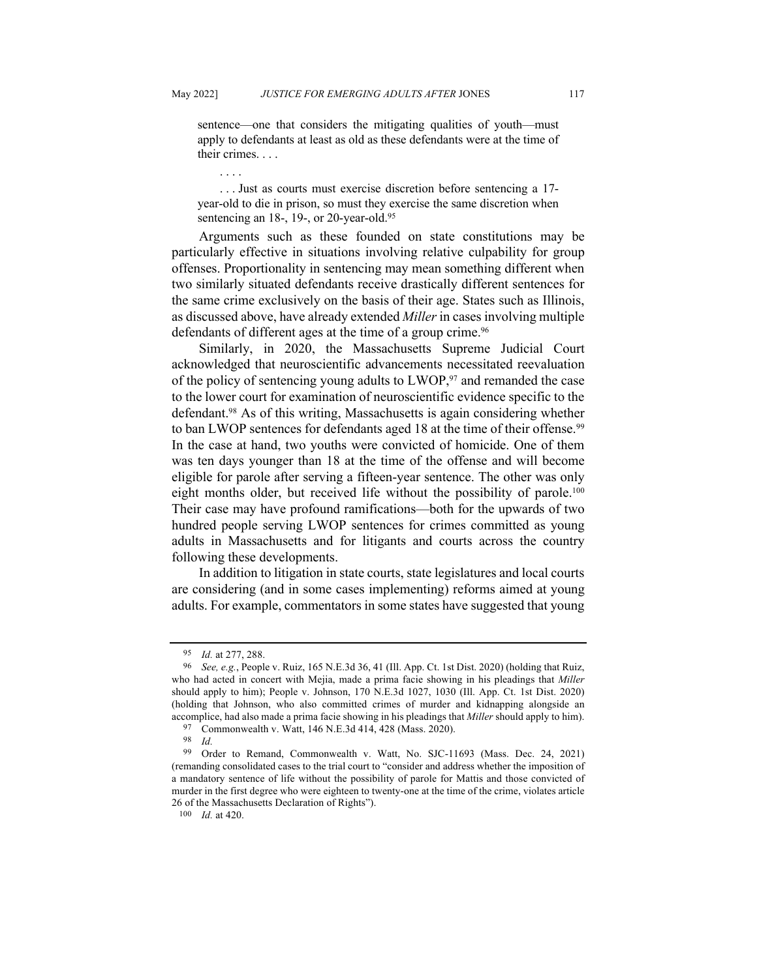sentence—one that considers the mitigating qualities of youth—must apply to defendants at least as old as these defendants were at the time of their crimes. . . .

. . . .

. . . Just as courts must exercise discretion before sentencing a 17 year-old to die in prison, so must they exercise the same discretion when sentencing an 18-, 19-, or 20-year-old.<sup>95</sup>

Arguments such as these founded on state constitutions may be particularly effective in situations involving relative culpability for group offenses. Proportionality in sentencing may mean something different when two similarly situated defendants receive drastically different sentences for the same crime exclusively on the basis of their age. States such as Illinois, as discussed above, have already extended *Miller* in cases involving multiple defendants of different ages at the time of a group crime.<sup>96</sup>

Similarly, in 2020, the Massachusetts Supreme Judicial Court acknowledged that neuroscientific advancements necessitated reevaluation of the policy of sentencing young adults to LWOP,<sup>97</sup> and remanded the case to the lower court for examination of neuroscientific evidence specific to the defendant.98 As of this writing, Massachusetts is again considering whether to ban LWOP sentences for defendants aged 18 at the time of their offense.<sup>99</sup> In the case at hand, two youths were convicted of homicide. One of them was ten days younger than 18 at the time of the offense and will become eligible for parole after serving a fifteen-year sentence. The other was only eight months older, but received life without the possibility of parole.<sup>100</sup> Their case may have profound ramifications—both for the upwards of two hundred people serving LWOP sentences for crimes committed as young adults in Massachusetts and for litigants and courts across the country following these developments.

In addition to litigation in state courts, state legislatures and local courts are considering (and in some cases implementing) reforms aimed at young adults. For example, commentators in some states have suggested that young

<sup>95</sup> *Id.* at 277, 288.

<sup>96</sup> *See, e.g.*, People v. Ruiz, 165 N.E.3d 36, 41 (Ill. App. Ct. 1st Dist. 2020) (holding that Ruiz, who had acted in concert with Mejia, made a prima facie showing in his pleadings that *Miller* should apply to him); People v. Johnson, 170 N.E.3d 1027, 1030 (Ill. App. Ct. 1st Dist. 2020) (holding that Johnson, who also committed crimes of murder and kidnapping alongside an accomplice, had also made a prima facie showing in his pleadings that *Miller* should apply to him).

<sup>97</sup> Commonwealth v. Watt, 146 N.E.3d 414, 428 (Mass. 2020).

<sup>98</sup> *Id.*

<sup>99</sup> Order to Remand, Commonwealth v. Watt, No. SJC-11693 (Mass. Dec. 24, 2021) (remanding consolidated cases to the trial court to "consider and address whether the imposition of a mandatory sentence of life without the possibility of parole for Mattis and those convicted of murder in the first degree who were eighteen to twenty-one at the time of the crime, violates article 26 of the Massachusetts Declaration of Rights").

<sup>100</sup> *Id.* at 420.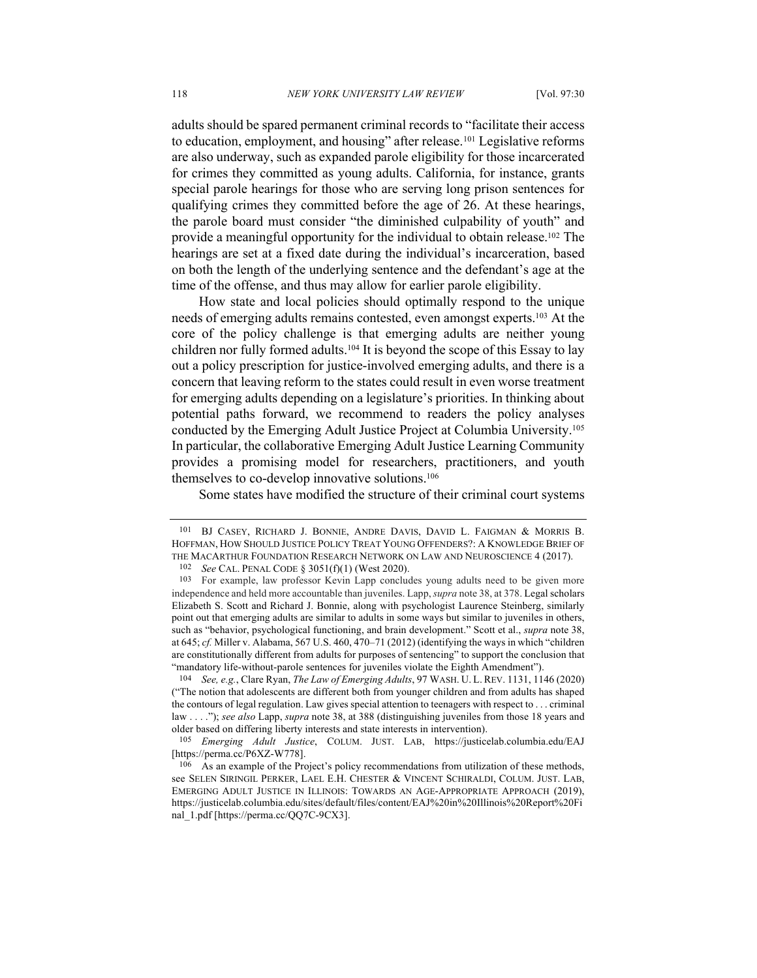adults should be spared permanent criminal records to "facilitate their access to education, employment, and housing" after release.101 Legislative reforms are also underway, such as expanded parole eligibility for those incarcerated for crimes they committed as young adults. California, for instance, grants special parole hearings for those who are serving long prison sentences for qualifying crimes they committed before the age of 26. At these hearings, the parole board must consider "the diminished culpability of youth" and provide a meaningful opportunity for the individual to obtain release.102 The hearings are set at a fixed date during the individual's incarceration, based on both the length of the underlying sentence and the defendant's age at the time of the offense, and thus may allow for earlier parole eligibility.

How state and local policies should optimally respond to the unique needs of emerging adults remains contested, even amongst experts. <sup>103</sup> At the core of the policy challenge is that emerging adults are neither young children nor fully formed adults.<sup>104</sup> It is beyond the scope of this Essay to lay out a policy prescription for justice-involved emerging adults, and there is a concern that leaving reform to the states could result in even worse treatment for emerging adults depending on a legislature's priorities. In thinking about potential paths forward, we recommend to readers the policy analyses conducted by the Emerging Adult Justice Project at Columbia University.105 In particular, the collaborative Emerging Adult Justice Learning Community provides a promising model for researchers, practitioners, and youth themselves to co-develop innovative solutions.106

Some states have modified the structure of their criminal court systems

<sup>101</sup> BJ CASEY, RICHARD J. BONNIE, ANDRE DAVIS, DAVID L. FAIGMAN & MORRIS B. HOFFMAN, HOW SHOULD JUSTICE POLICY TREAT YOUNG OFFENDERS?: A KNOWLEDGE BRIEF OF THE MACARTHUR FOUNDATION RESEARCH NETWORK ON LAW AND NEUROSCIENCE 4 (2017).

See CAL. PENAL CODE § 3051(f)(1) (West 2020).

<sup>103</sup> For example, law professor Kevin Lapp concludes young adults need to be given more independence and held more accountable than juveniles. Lapp, *supra* note 38, at 378. Legal scholars Elizabeth S. Scott and Richard J. Bonnie, along with psychologist Laurence Steinberg, similarly point out that emerging adults are similar to adults in some ways but similar to juveniles in others, such as "behavior, psychological functioning, and brain development." Scott et al., *supra* note 38, at 645; *cf.* Miller v. Alabama, 567 U.S. 460, 470–71 (2012) (identifying the ways in which "children are constitutionally different from adults for purposes of sentencing" to support the conclusion that "mandatory life-without-parole sentences for juveniles violate the Eighth Amendment").

<sup>104</sup> *See, e.g.*, Clare Ryan, *The Law of Emerging Adults*, 97 WASH. U. L. REV. 1131, 1146 (2020) ("The notion that adolescents are different both from younger children and from adults has shaped the contours of legal regulation. Law gives special attention to teenagers with respect to . . . criminal law . . . ."); *see also* Lapp, *supra* note 38, at 388 (distinguishing juveniles from those 18 years and older based on differing liberty interests and state interests in intervention).

<sup>105</sup> *Emerging Adult Justice*, COLUM. JUST. LAB, https://justicelab.columbia.edu/EAJ [https://perma.cc/P6XZ-W778].

<sup>106</sup> As an example of the Project's policy recommendations from utilization of these methods, see SELEN SIRINGIL PERKER, LAEL E.H. CHESTER & VINCENT SCHIRALDI, COLUM. JUST. LAB, EMERGING ADULT JUSTICE IN ILLINOIS: TOWARDS AN AGE-APPROPRIATE APPROACH (2019), https://justicelab.columbia.edu/sites/default/files/content/EAJ%20in%20Illinois%20Report%20Fi nal\_1.pdf [https://perma.cc/QQ7C-9CX3].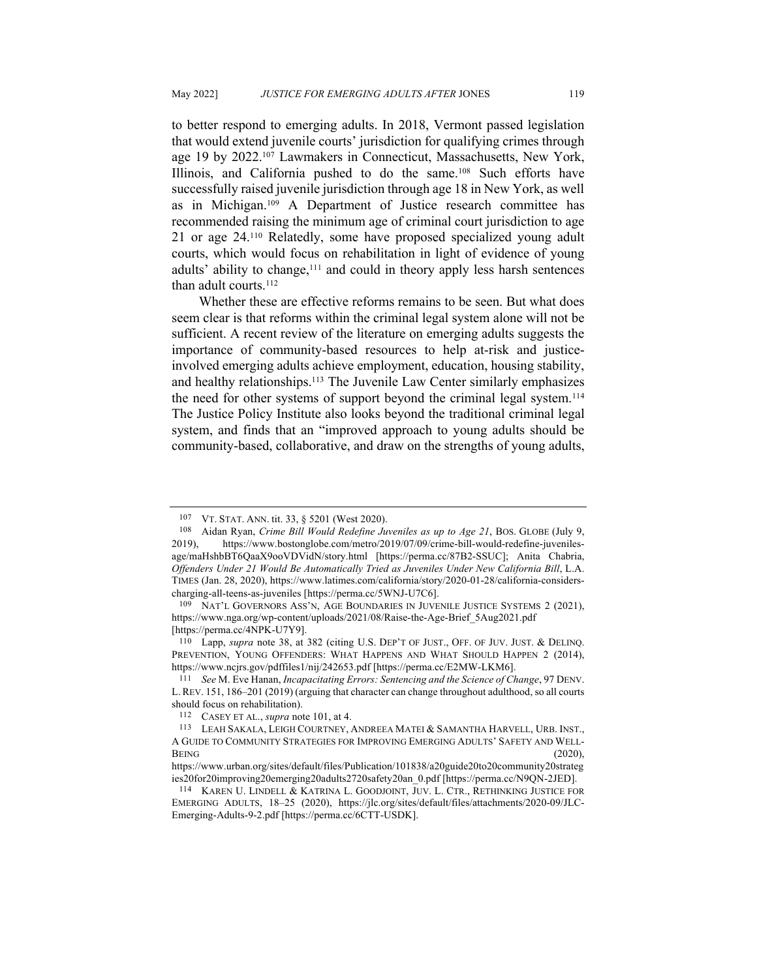to better respond to emerging adults. In 2018, Vermont passed legislation that would extend juvenile courts' jurisdiction for qualifying crimes through age 19 by 2022.<sup>107</sup> Lawmakers in Connecticut, Massachusetts, New York, Illinois, and California pushed to do the same.108 Such efforts have successfully raised juvenile jurisdiction through age 18 in New York, as well as in Michigan.109 A Department of Justice research committee has recommended raising the minimum age of criminal court jurisdiction to age 21 or age 24.110 Relatedly, some have proposed specialized young adult courts, which would focus on rehabilitation in light of evidence of young adults' ability to change, $111$  and could in theory apply less harsh sentences than adult courts.<sup>112</sup>

Whether these are effective reforms remains to be seen. But what does seem clear is that reforms within the criminal legal system alone will not be sufficient. A recent review of the literature on emerging adults suggests the importance of community-based resources to help at-risk and justiceinvolved emerging adults achieve employment, education, housing stability, and healthy relationships.113 The Juvenile Law Center similarly emphasizes the need for other systems of support beyond the criminal legal system.<sup>114</sup> The Justice Policy Institute also looks beyond the traditional criminal legal system, and finds that an "improved approach to young adults should be community-based, collaborative, and draw on the strengths of young adults,

<sup>107</sup> VT. STAT. ANN. tit. 33, § 5201 (West 2020).

<sup>108</sup> Aidan Ryan, *Crime Bill Would Redefine Juveniles as up to Age 21*, BOS. GLOBE (July 9, 2019), https://www.bostonglobe.com/metro/2019/07/09/crime-bill-would-redefine-juvenilesage/maHshbBT6QaaX9ooVDVidN/story.html [https://perma.cc/87B2-SSUC]; Anita Chabria, *Offenders Under 21 Would Be Automatically Tried as Juveniles Under New California Bill*, L.A. TIMES (Jan. 28, 2020), https://www.latimes.com/california/story/2020-01-28/california-considerscharging-all-teens-as-juveniles [https://perma.cc/5WNJ-U7C6].<br><sup>109</sup> NAT'L GOVERNORS ASS'N, AGE BOUNDARIES IN JUVENILE JUSTICE SYSTEMS 2 (2021),

https://www.nga.org/wp-content/uploads/2021/08/Raise-the-Age-Brief\_5Aug2021.pdf [https://perma.cc/4NPK-U7Y9].

<sup>110</sup> Lapp, *supra* note 38, at 382 (citing U.S. DEP'T OF JUST., OFF. OF JUV. JUST. & DELINQ. PREVENTION, YOUNG OFFENDERS: WHAT HAPPENS AND WHAT SHOULD HAPPEN 2 (2014), https://www.ncjrs.gov/pdffiles1/nij/242653.pdf [https://perma.cc/E2MW-LKM6].

<sup>111</sup> *See* M. Eve Hanan, *Incapacitating Errors: Sentencing and the Science of Change*, 97 DENV. L. REV. 151, 186–201 (2019) (arguing that character can change throughout adulthood, so all courts should focus on rehabilitation).

<sup>112</sup> CASEY ET AL., *supra* note 101, at 4.

<sup>113</sup> LEAH SAKALA, LEIGH COURTNEY, ANDREEA MATEI & SAMANTHA HARVELL, URB. INST., A GUIDE TO COMMUNITY STRATEGIES FOR IMPROVING EMERGING ADULTS' SAFETY AND WELL- $BENG$  (2020),

https://www.urban.org/sites/default/files/Publication/101838/a20guide20to20community20strateg ies20for20improving20emerging20adults2720safety20an\_0.pdf [https://perma.cc/N9QN-2JED].

<sup>114</sup> KAREN U. LINDELL & KATRINA L. GOODJOINT, JUV. L. CTR., RETHINKING JUSTICE FOR EMERGING ADULTS, 18–25 (2020), https://jlc.org/sites/default/files/attachments/2020-09/JLC-Emerging-Adults-9-2.pdf [https://perma.cc/6CTT-USDK].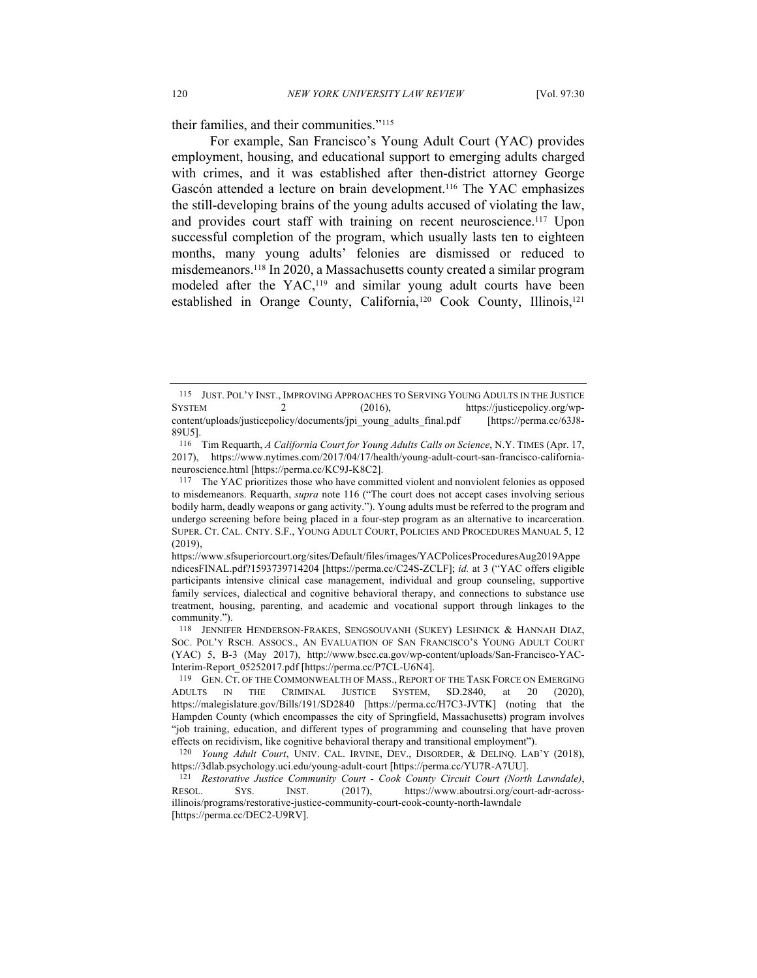their families, and their communities."115

For example, San Francisco's Young Adult Court (YAC) provides employment, housing, and educational support to emerging adults charged with crimes, and it was established after then-district attorney George Gascón attended a lecture on brain development.116 The YAC emphasizes the still-developing brains of the young adults accused of violating the law, and provides court staff with training on recent neuroscience.<sup>117</sup> Upon successful completion of the program, which usually lasts ten to eighteen months, many young adults' felonies are dismissed or reduced to misdemeanors.118 In 2020, a Massachusetts county created a similar program modeled after the YAC,119 and similar young adult courts have been established in Orange County, California,<sup>120</sup> Cook County, Illinois,<sup>121</sup>

<sup>115</sup> JUST. POL'Y INST., IMPROVING APPROACHES TO SERVING YOUNG ADULTS IN THE JUSTICE SYSTEM 2 (2016), https://justicepolicy.org/wpcontent/uploads/justicepolicy/documents/jpi\_young\_adults\_final.pdf [https://perma.cc/63J8- 89U5].

<sup>116</sup> Tim Requarth, *A California Court for Young Adults Calls on Science*, N.Y. TIMES (Apr. 17, 2017), https://www.nytimes.com/2017/04/17/health/young-adult-court-san-francisco-californianeuroscience.html [https://perma.cc/KC9J-K8C2].

<sup>117</sup> The YAC prioritizes those who have committed violent and nonviolent felonies as opposed to misdemeanors. Requarth, *supra* note 116 ("The court does not accept cases involving serious bodily harm, deadly weapons or gang activity."). Young adults must be referred to the program and undergo screening before being placed in a four-step program as an alternative to incarceration. SUPER. CT. CAL. CNTY. S.F., YOUNG ADULT COURT, POLICIES AND PROCEDURES MANUAL 5, 12 (2019),

https://www.sfsuperiorcourt.org/sites/Default/files/images/YACPolicesProceduresAug2019Appe ndicesFINAL.pdf?1593739714204 [https://perma.cc/C24S-ZCLF]; *id.* at 3 ("YAC offers eligible participants intensive clinical case management, individual and group counseling, supportive family services, dialectical and cognitive behavioral therapy, and connections to substance use treatment, housing, parenting, and academic and vocational support through linkages to the community.").

<sup>118</sup> JENNIFER HENDERSON-FRAKES, SENGSOUVANH (SUKEY) LESHNICK & HANNAH DIAZ, SOC. POL'Y RSCH. ASSOCS., AN EVALUATION OF SAN FRANCISCO'S YOUNG ADULT COURT (YAC) 5, B-3 (May 2017), http://www.bscc.ca.gov/wp-content/uploads/San-Francisco-YAC-Interim-Report\_05252017.pdf [https://perma.cc/P7CL-U6N4].

<sup>119</sup> GEN. CT. OF THE COMMONWEALTH OF MASS., REPORT OF THE TASK FORCE ON EMERGING ADULTS IN THE CRIMINAL JUSTICE SYSTEM, SD.2840, at 20 (2020), https://malegislature.gov/Bills/191/SD2840 [https://perma.cc/H7C3-JVTK] (noting that the Hampden County (which encompasses the city of Springfield, Massachusetts) program involves "job training, education, and different types of programming and counseling that have proven effects on recidivism, like cognitive behavioral therapy and transitional employment").

<sup>120</sup> *Young Adult Court*, UNIV. CAL. IRVINE, DEV., DISORDER, & DELINQ. LAB'Y (2018), https://3dlab.psychology.uci.edu/young-adult-court [https://perma.cc/YU7R-A7UU].

<sup>121</sup> *Restorative Justice Community Court - Cook County Circuit Court (North Lawndale)*, RESOL. SYS. INST. (2017), https://www.aboutrsi.org/court-adr-acrossillinois/programs/restorative-justice-community-court-cook-county-north-lawndale [https://perma.cc/DEC2-U9RV].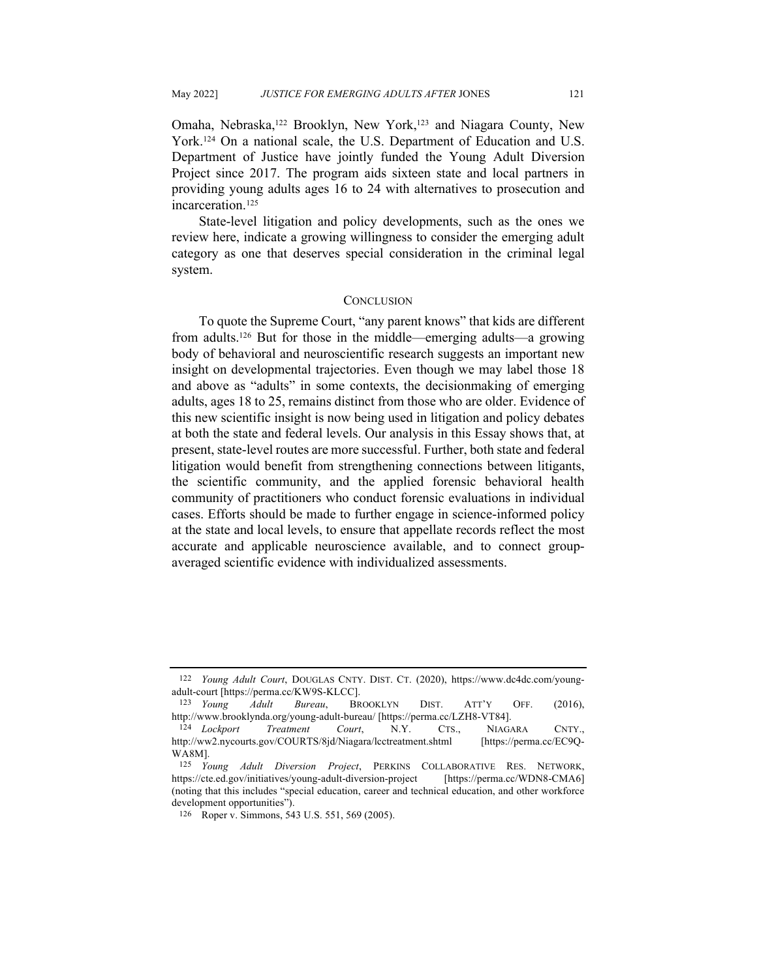Omaha, Nebraska,<sup>122</sup> Brooklyn, New York,<sup>123</sup> and Niagara County, New York.124 On a national scale, the U.S. Department of Education and U.S. Department of Justice have jointly funded the Young Adult Diversion Project since 2017. The program aids sixteen state and local partners in providing young adults ages 16 to 24 with alternatives to prosecution and incarceration.125

State-level litigation and policy developments, such as the ones we review here, indicate a growing willingness to consider the emerging adult category as one that deserves special consideration in the criminal legal system.

#### **CONCLUSION**

To quote the Supreme Court, "any parent knows" that kids are different from adults.126 But for those in the middle—emerging adults—a growing body of behavioral and neuroscientific research suggests an important new insight on developmental trajectories. Even though we may label those 18 and above as "adults" in some contexts, the decisionmaking of emerging adults, ages 18 to 25, remains distinct from those who are older. Evidence of this new scientific insight is now being used in litigation and policy debates at both the state and federal levels. Our analysis in this Essay shows that, at present, state-level routes are more successful. Further, both state and federal litigation would benefit from strengthening connections between litigants, the scientific community, and the applied forensic behavioral health community of practitioners who conduct forensic evaluations in individual cases. Efforts should be made to further engage in science-informed policy at the state and local levels, to ensure that appellate records reflect the most accurate and applicable neuroscience available, and to connect groupaveraged scientific evidence with individualized assessments.

<sup>122</sup> *Young Adult Court*, DOUGLAS CNTY. DIST. CT. (2020), https://www.dc4dc.com/youngadult-court [https://perma.cc/KW9S-KLCC].

<sup>123</sup> *Young Adult Bureau*, BROOKLYN DIST. ATT'Y OFF. (2016), http://www.brooklynda.org/young-adult-bureau/ [https://perma.cc/LZH8-VT84].

<sup>124</sup> *Lockport Treatment Court*, N.Y. CTS., NIAGARA CNTY., http://ww2.nycourts.gov/COURTS/8jd/Niagara/lcctreatment.shtml [https://perma.cc/EC9Q-WA8M].

<sup>125</sup> *Young Adult Diversion Project*, PERKINS COLLABORATIVE RES. NETWORK, https://cte.ed.gov/initiatives/young-adult-diversion-project [https://perma.cc/WDN8-CMA6] (noting that this includes "special education, career and technical education, and other workforce development opportunities").

<sup>126</sup> Roper v. Simmons, 543 U.S. 551, 569 (2005).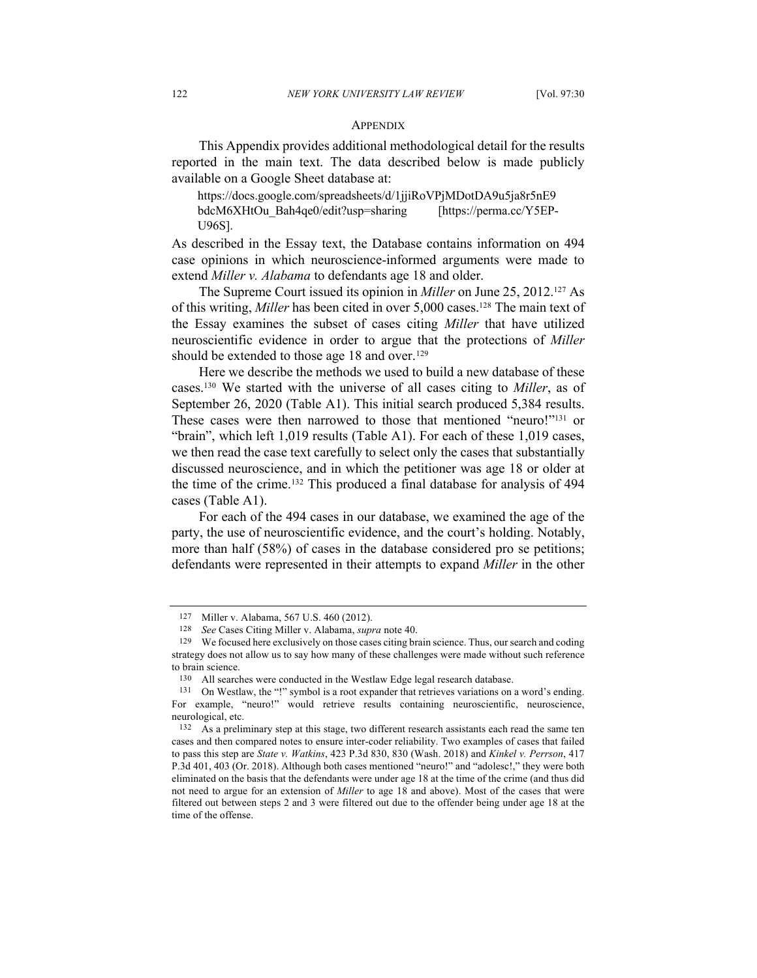#### **APPENDIX**

This Appendix provides additional methodological detail for the results reported in the main text. The data described below is made publicly available on a Google Sheet database at:

https://docs.google.com/spreadsheets/d/1jjiRoVPjMDotDA9u5ja8r5nE9 bdcM6XHtOu\_Bah4qe0/edit?usp=sharing [https://perma.cc/Y5EP-U96S].

As described in the Essay text, the Database contains information on 494 case opinions in which neuroscience-informed arguments were made to extend *Miller v. Alabama* to defendants age 18 and older.

The Supreme Court issued its opinion in *Miller* on June 25, 2012.127 As of this writing, *Miller* has been cited in over 5,000 cases.128 The main text of the Essay examines the subset of cases citing *Miller* that have utilized neuroscientific evidence in order to argue that the protections of *Miller*  should be extended to those age 18 and over.<sup>129</sup>

Here we describe the methods we used to build a new database of these cases.130 We started with the universe of all cases citing to *Miller*, as of September 26, 2020 (Table A1). This initial search produced 5,384 results. These cases were then narrowed to those that mentioned "neuro!"131 or "brain", which left 1,019 results (Table A1). For each of these 1,019 cases, we then read the case text carefully to select only the cases that substantially discussed neuroscience, and in which the petitioner was age 18 or older at the time of the crime.132 This produced a final database for analysis of 494 cases (Table A1).

For each of the 494 cases in our database, we examined the age of the party, the use of neuroscientific evidence, and the court's holding. Notably, more than half (58%) of cases in the database considered pro se petitions; defendants were represented in their attempts to expand *Miller* in the other

<sup>127</sup> Miller v. Alabama, 567 U.S. 460 (2012).

<sup>128</sup> *See* Cases Citing Miller v. Alabama, *supra* note 40.

<sup>129</sup> We focused here exclusively on those cases citing brain science. Thus, our search and coding strategy does not allow us to say how many of these challenges were made without such reference to brain science.

<sup>130</sup> All searches were conducted in the Westlaw Edge legal research database.

<sup>131</sup> On Westlaw, the "!" symbol is a root expander that retrieves variations on a word's ending. For example, "neuro!" would retrieve results containing neuroscientific, neuroscience, neurological, etc.

<sup>132</sup> As a preliminary step at this stage, two different research assistants each read the same ten cases and then compared notes to ensure inter-coder reliability. Two examples of cases that failed to pass this step are *State v. Watkins*, 423 P.3d 830, 830 (Wash. 2018) and *Kinkel v. Perrson*, 417 P.3d 401, 403 (Or. 2018). Although both cases mentioned "neuro!" and "adolesc!," they were both eliminated on the basis that the defendants were under age 18 at the time of the crime (and thus did not need to argue for an extension of *Miller* to age 18 and above). Most of the cases that were filtered out between steps 2 and 3 were filtered out due to the offender being under age 18 at the time of the offense.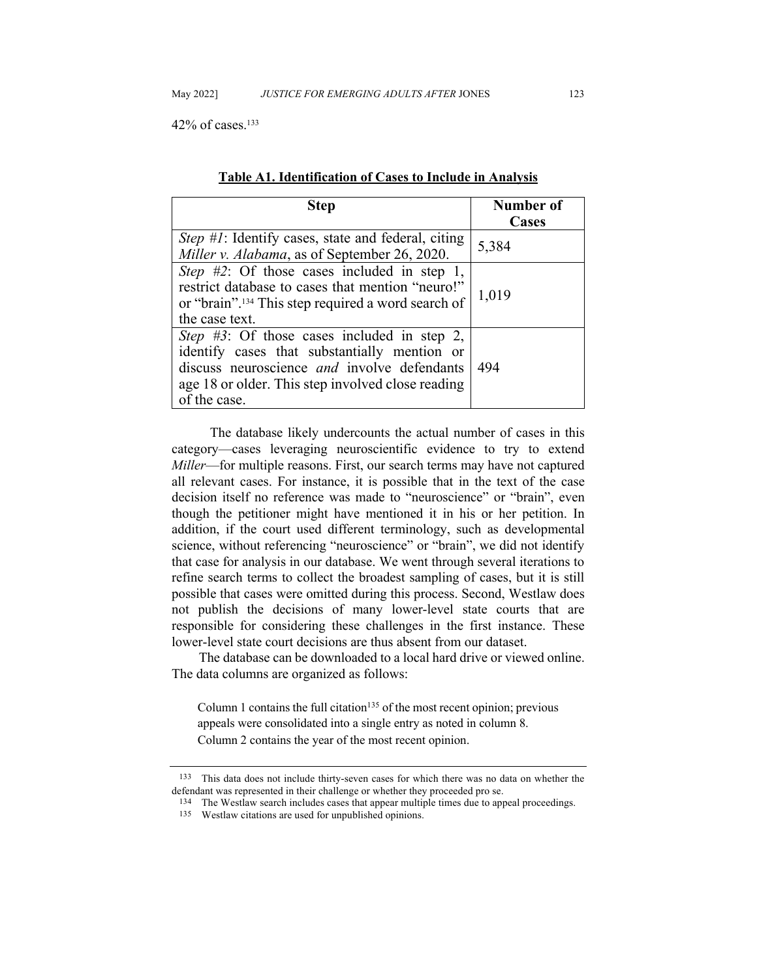42% of cases.133

| Step                                                                                                                                                                                                                    | Number of<br>Cases |
|-------------------------------------------------------------------------------------------------------------------------------------------------------------------------------------------------------------------------|--------------------|
| <i>Step #1</i> : Identify cases, state and federal, citing<br>Miller v. Alabama, as of September 26, 2020.                                                                                                              | 5,384              |
| Step #2: Of those cases included in step 1,<br>restrict database to cases that mention "neuro!"<br>or "brain". <sup>134</sup> This step required a word search of<br>the case text.                                     | 1,019              |
| <i>Step #3</i> : Of those cases included in step 2,<br>identify cases that substantially mention or<br>discuss neuroscience and involve defendants<br>age 18 or older. This step involved close reading<br>of the case. | -494               |

| Table A1. Identification of Cases to Include in Analysis |
|----------------------------------------------------------|
|----------------------------------------------------------|

The database likely undercounts the actual number of cases in this category—cases leveraging neuroscientific evidence to try to extend *Miller*—for multiple reasons. First, our search terms may have not captured all relevant cases. For instance, it is possible that in the text of the case decision itself no reference was made to "neuroscience" or "brain", even though the petitioner might have mentioned it in his or her petition. In addition, if the court used different terminology, such as developmental science, without referencing "neuroscience" or "brain", we did not identify that case for analysis in our database. We went through several iterations to refine search terms to collect the broadest sampling of cases, but it is still possible that cases were omitted during this process. Second, Westlaw does not publish the decisions of many lower-level state courts that are responsible for considering these challenges in the first instance. These lower-level state court decisions are thus absent from our dataset.

The database can be downloaded to a local hard drive or viewed online. The data columns are organized as follows:

Column 1 contains the full citation<sup>135</sup> of the most recent opinion; previous appeals were consolidated into a single entry as noted in column 8.

Column 2 contains the year of the most recent opinion.

<sup>133</sup> This data does not include thirty-seven cases for which there was no data on whether the defendant was represented in their challenge or whether they proceeded pro se.<br><sup>134</sup> The Westlaw search includes cases that appear multiple times due to appeal proceedings.

<sup>135</sup> Westlaw citations are used for unpublished opinions.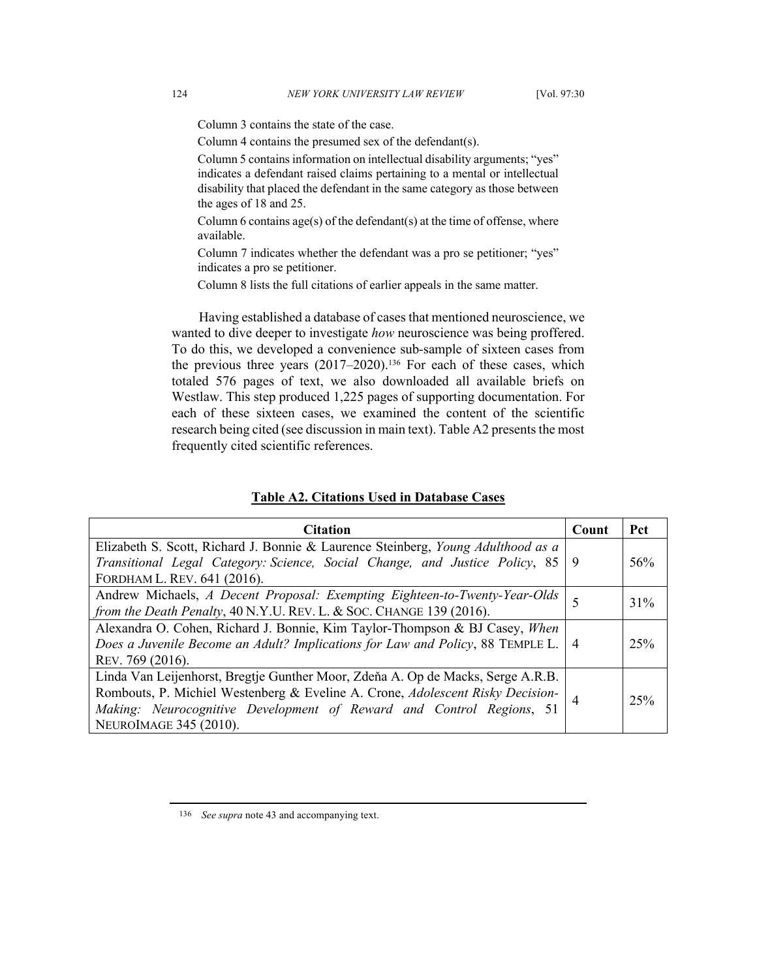Column 3 contains the state of the case.

Column 4 contains the presumed sex of the defendant(s).

Column 5 contains information on intellectual disability arguments; "yes" indicates a defendant raised claims pertaining to a mental or intellectual disability that placed the defendant in the same category as those between the ages of 18 and 25.

Column 6 contains  $\text{age}(s)$  of the defendant(s) at the time of offense, where available.

Column 7 indicates whether the defendant was a pro se petitioner; "yes" indicates a pro se petitioner.

Column 8 lists the full citations of earlier appeals in the same matter.

Having established a database of cases that mentioned neuroscience, we wanted to dive deeper to investigate *how* neuroscience was being proffered. To do this, we developed a convenience sub-sample of sixteen cases from the previous three years (2017–2020).<sup>136</sup> For each of these cases, which totaled 576 pages of text, we also downloaded all available briefs on Westlaw. This step produced 1,225 pages of supporting documentation. For each of these sixteen cases, we examined the content of the scientific research being cited (see discussion in main text). Table A2 presents the most frequently cited scientific references.

| <b>Citation</b>                                                                    | Count | <b>Pct</b> |
|------------------------------------------------------------------------------------|-------|------------|
| Elizabeth S. Scott, Richard J. Bonnie & Laurence Steinberg, Young Adulthood as a   |       |            |
| Transitional Legal Category: Science, Social Change, and Justice Policy, 85   9    |       | 56%        |
| FORDHAM L. REV. 641 (2016).                                                        |       |            |
| Andrew Michaels, A Decent Proposal: Exempting Eighteen-to-Twenty-Year-Olds         |       | $31\%$     |
| from the Death Penalty, 40 N.Y.U. REV. L. & Soc. CHANGE 139 (2016).                |       |            |
| Alexandra O. Cohen, Richard J. Bonnie, Kim Taylor-Thompson & BJ Casey, When        |       |            |
| Does a Juvenile Become an Adult? Implications for Law and Policy, 88 TEMPLE L.   4 |       | 25%        |
| REV. 769 (2016).                                                                   |       |            |
| Linda Van Leijenhorst, Bregtje Gunther Moor, Zdeňa A. Op de Macks, Serge A.R.B.    |       |            |
| Rombouts, P. Michiel Westenberg & Eveline A. Crone, Adolescent Risky Decision-     |       | 25%        |
| Making: Neurocognitive Development of Reward and Control Regions, 51               |       |            |
| NEUROIMAGE 345 (2010).                                                             |       |            |

<sup>136</sup> *See supra* note 43 and accompanying text.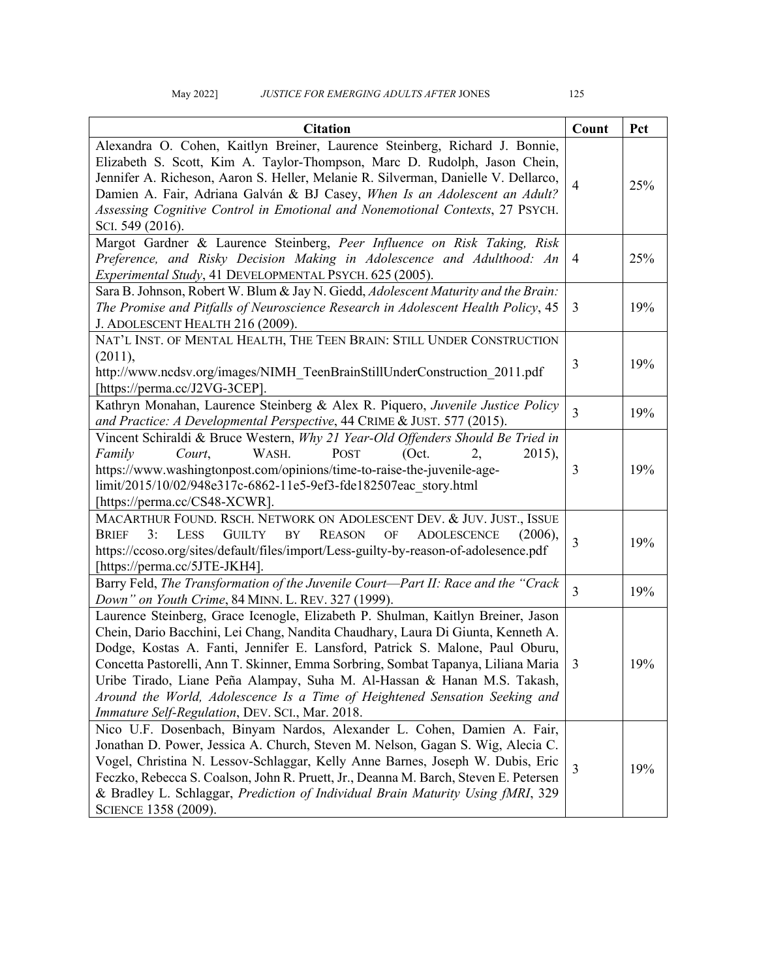# May 2022] *JUSTICE FOR EMERGING ADULTS AFTER JONES* 125

| <b>Citation</b>                                                                                                                                                                                                                                                                                                                                                                                                                                                                                                                                         | Count          | Pct |
|---------------------------------------------------------------------------------------------------------------------------------------------------------------------------------------------------------------------------------------------------------------------------------------------------------------------------------------------------------------------------------------------------------------------------------------------------------------------------------------------------------------------------------------------------------|----------------|-----|
| Alexandra O. Cohen, Kaitlyn Breiner, Laurence Steinberg, Richard J. Bonnie,<br>Elizabeth S. Scott, Kim A. Taylor-Thompson, Marc D. Rudolph, Jason Chein,<br>Jennifer A. Richeson, Aaron S. Heller, Melanie R. Silverman, Danielle V. Dellarco,<br>Damien A. Fair, Adriana Galván & BJ Casey, When Is an Adolescent an Adult?<br>Assessing Cognitive Control in Emotional and Nonemotional Contexts, 27 PSYCH.<br>SCI. 549 (2016).                                                                                                                       | $\overline{4}$ | 25% |
| Margot Gardner & Laurence Steinberg, Peer Influence on Risk Taking, Risk<br>Preference, and Risky Decision Making in Adolescence and Adulthood: An<br>Experimental Study, 41 DEVELOPMENTAL PSYCH. 625 (2005).                                                                                                                                                                                                                                                                                                                                           | $\overline{4}$ | 25% |
| Sara B. Johnson, Robert W. Blum & Jay N. Giedd, Adolescent Maturity and the Brain:<br>The Promise and Pitfalls of Neuroscience Research in Adolescent Health Policy, 45<br>J. ADOLESCENT HEALTH 216 (2009).                                                                                                                                                                                                                                                                                                                                             | 3              | 19% |
| NAT'L INST. OF MENTAL HEALTH, THE TEEN BRAIN: STILL UNDER CONSTRUCTION<br>(2011),<br>http://www.ncdsv.org/images/NIMH TeenBrainStillUnderConstruction 2011.pdf<br>[https://perma.cc/J2VG-3CEP].                                                                                                                                                                                                                                                                                                                                                         | 3              | 19% |
| Kathryn Monahan, Laurence Steinberg & Alex R. Piquero, Juvenile Justice Policy<br>and Practice: A Developmental Perspective, 44 CRIME & JUST. 577 (2015).                                                                                                                                                                                                                                                                                                                                                                                               | $\overline{3}$ | 19% |
| Vincent Schiraldi & Bruce Western, Why 21 Year-Old Offenders Should Be Tried in<br>Court,<br>WASH.<br>POST<br>(Oct.<br>Family<br>$2015$ ,<br>2.<br>https://www.washingtonpost.com/opinions/time-to-raise-the-juvenile-age-<br>limit/2015/10/02/948e317c-6862-11e5-9ef3-fde182507eac story.html<br>[https://perma.cc/CS48-XCWR].                                                                                                                                                                                                                         | 3              | 19% |
| MACARTHUR FOUND. RSCH. NETWORK ON ADOLESCENT DEV. & JUV. JUST., ISSUE<br>3:<br>LESS<br><b>GUILTY</b><br>BY<br><b>REASON</b><br>$\mathrm{OF}$<br><b>ADOLESCENCE</b><br>(2006),<br>Brief<br>https://ccoso.org/sites/default/files/import/Less-guilty-by-reason-of-adolesence.pdf<br>[https://perma.cc/5JTE-JKH4].                                                                                                                                                                                                                                         | $\overline{3}$ | 19% |
| Barry Feld, The Transformation of the Juvenile Court-Part II: Race and the "Crack<br>Down" on Youth Crime, 84 MINN. L. REV. 327 (1999).                                                                                                                                                                                                                                                                                                                                                                                                                 | $\overline{3}$ | 19% |
| Laurence Steinberg, Grace Icenogle, Elizabeth P. Shulman, Kaitlyn Breiner, Jason<br>Chein, Dario Bacchini, Lei Chang, Nandita Chaudhary, Laura Di Giunta, Kenneth A.<br>Dodge, Kostas A. Fanti, Jennifer E. Lansford, Patrick S. Malone, Paul Oburu,<br>Concetta Pastorelli, Ann T. Skinner, Emma Sorbring, Sombat Tapanya, Liliana Maria<br>Uribe Tirado, Liane Peña Alampay, Suha M. Al-Hassan & Hanan M.S. Takash,<br>Around the World, Adolescence Is a Time of Heightened Sensation Seeking and<br>Immature Self-Regulation, DEV. SCI., Mar. 2018. | $\overline{3}$ | 19% |
| Nico U.F. Dosenbach, Binyam Nardos, Alexander L. Cohen, Damien A. Fair,<br>Jonathan D. Power, Jessica A. Church, Steven M. Nelson, Gagan S. Wig, Alecia C.<br>Vogel, Christina N. Lessov-Schlaggar, Kelly Anne Barnes, Joseph W. Dubis, Eric<br>Feczko, Rebecca S. Coalson, John R. Pruett, Jr., Deanna M. Barch, Steven E. Petersen<br>& Bradley L. Schlaggar, Prediction of Individual Brain Maturity Using fMRI, 329<br>SCIENCE 1358 (2009).                                                                                                         | 3              | 19% |